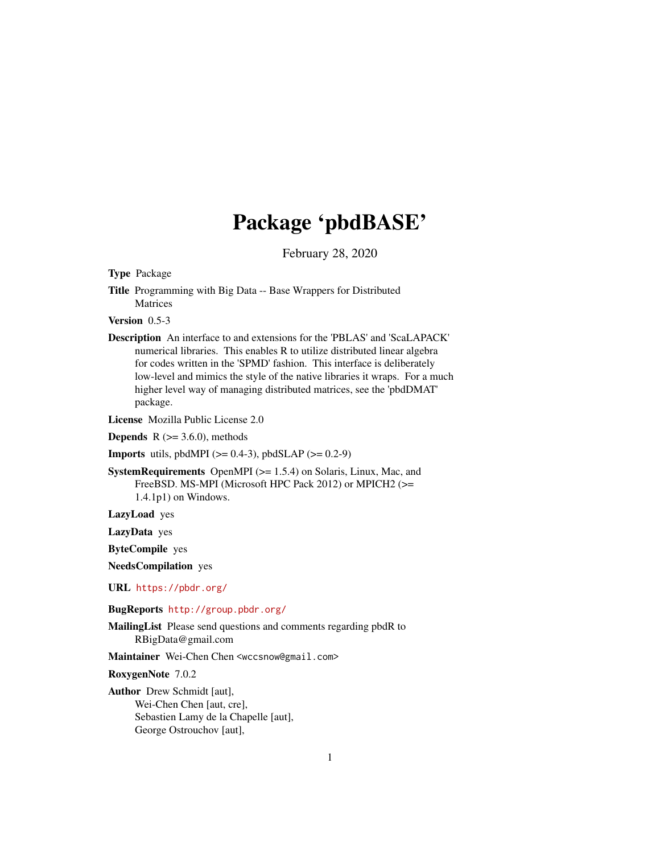# Package 'pbdBASE'

February 28, 2020

Type Package

Title Programming with Big Data -- Base Wrappers for Distributed Matrices

Version 0.5-3

Description An interface to and extensions for the 'PBLAS' and 'ScaLAPACK' numerical libraries. This enables R to utilize distributed linear algebra for codes written in the 'SPMD' fashion. This interface is deliberately low-level and mimics the style of the native libraries it wraps. For a much higher level way of managing distributed matrices, see the 'pbdDMAT' package.

License Mozilla Public License 2.0

**Depends** R  $(>= 3.6.0)$ , methods

**Imports** utils, pbdMPI ( $>= 0.4-3$ ), pbdSLAP ( $>= 0.2-9$ )

SystemRequirements OpenMPI (>= 1.5.4) on Solaris, Linux, Mac, and FreeBSD. MS-MPI (Microsoft HPC Pack 2012) or MPICH2 (>= 1.4.1p1) on Windows.

LazyLoad yes

LazyData yes

ByteCompile yes

NeedsCompilation yes

URL <https://pbdr.org/>

BugReports <http://group.pbdr.org/>

MailingList Please send questions and comments regarding pbdR to RBigData@gmail.com

Maintainer Wei-Chen Chen <wccsnow@gmail.com>

RoxygenNote 7.0.2

Author Drew Schmidt [aut], Wei-Chen Chen [aut, cre], Sebastien Lamy de la Chapelle [aut], George Ostrouchov [aut],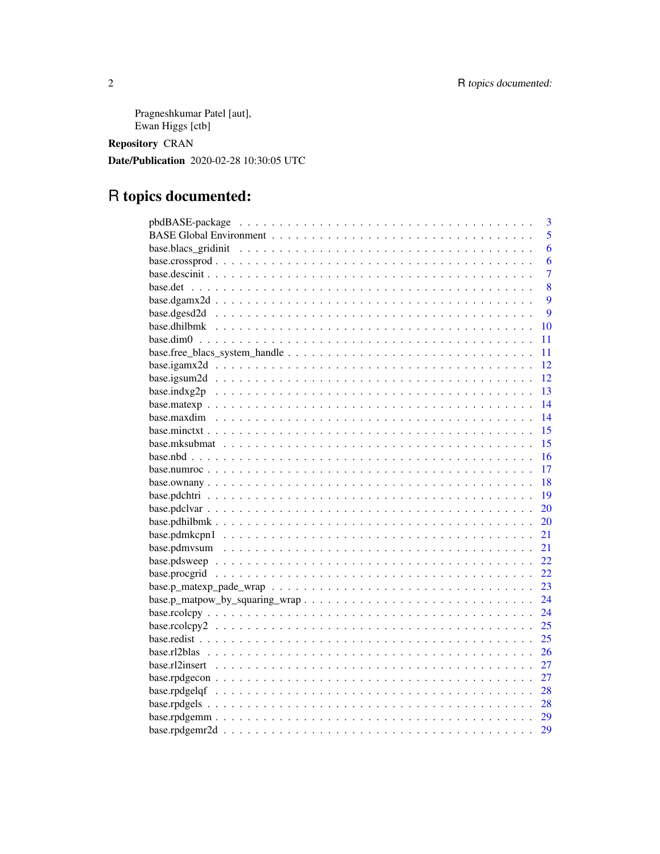Pragneshkumar Patel [aut], Ewan Higgs [ctb]

**Repository CRAN** 

Date/Publication 2020-02-28 10:30:05 UTC

# R topics documented:

| $\overline{3}$ |
|----------------|
| 5              |
| 6              |
| 6              |
| $\overline{7}$ |
| 8              |
| 9              |
| 9              |
| 10             |
| 11             |
| 11             |
| 12             |
| 12             |
| 13             |
| 14             |
| 14             |
| 15             |
| 15             |
| 16             |
| 17             |
| 18             |
| 19             |
| 20             |
| 20             |
| 21             |
| 21             |
| 22             |
| 22             |
| 23             |
| 24             |
| 24             |
| 25             |
| 25             |
| 26             |
| 27             |
| 27             |
|                |
|                |
|                |
| 29             |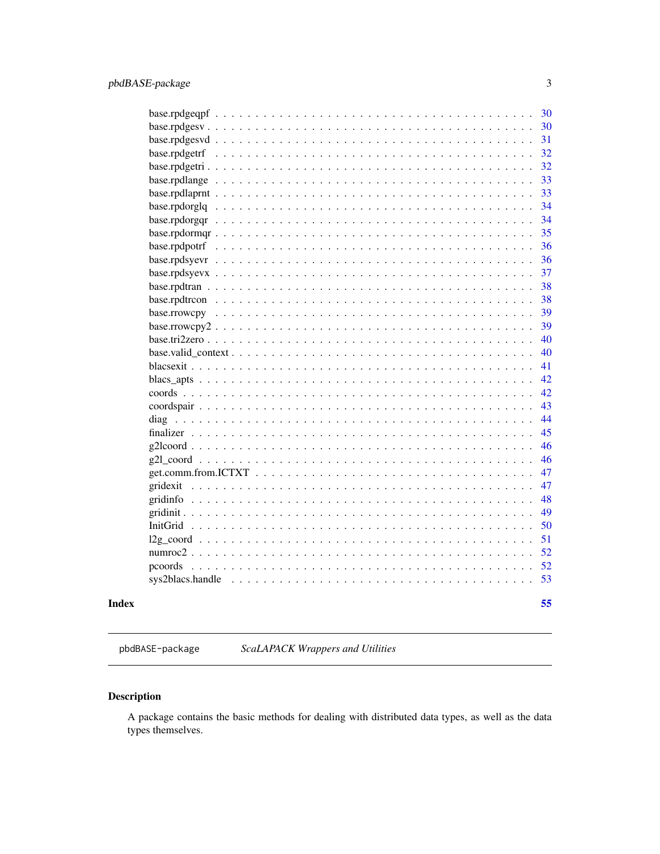<span id="page-2-0"></span>

|                                                                                                                                                 | 30 |
|-------------------------------------------------------------------------------------------------------------------------------------------------|----|
|                                                                                                                                                 | 30 |
|                                                                                                                                                 | 31 |
|                                                                                                                                                 | 32 |
|                                                                                                                                                 | 32 |
|                                                                                                                                                 | 33 |
|                                                                                                                                                 | 33 |
|                                                                                                                                                 | 34 |
|                                                                                                                                                 | 34 |
|                                                                                                                                                 | 35 |
|                                                                                                                                                 | 36 |
|                                                                                                                                                 | 36 |
|                                                                                                                                                 | 37 |
|                                                                                                                                                 | 38 |
|                                                                                                                                                 | 38 |
|                                                                                                                                                 | 39 |
|                                                                                                                                                 | 39 |
|                                                                                                                                                 | 40 |
|                                                                                                                                                 | 40 |
|                                                                                                                                                 | 41 |
|                                                                                                                                                 | 42 |
|                                                                                                                                                 | 42 |
|                                                                                                                                                 | 43 |
|                                                                                                                                                 | 44 |
|                                                                                                                                                 | 45 |
|                                                                                                                                                 | 46 |
|                                                                                                                                                 | 46 |
| $get. comm.$ from $.ICTXT$ $\ldots$ $\ldots$ $\ldots$ $\ldots$ $\ldots$ $\ldots$ $\ldots$ $\ldots$ $\ldots$ $\ldots$ $\ldots$ $\ldots$ $\ldots$ | 47 |
|                                                                                                                                                 | 47 |
|                                                                                                                                                 | 48 |
|                                                                                                                                                 | 49 |
|                                                                                                                                                 | 50 |
|                                                                                                                                                 | 51 |
|                                                                                                                                                 | 52 |
| pcoords                                                                                                                                         | 52 |
| sys2blacs.handle                                                                                                                                | 53 |
|                                                                                                                                                 |    |
|                                                                                                                                                 | 55 |

## **Index**

pbdBASE-package ScaLAPACK Wrappers and Utilities

## **Description**

A package contains the basic methods for dealing with distributed data types, as well as the data types themselves.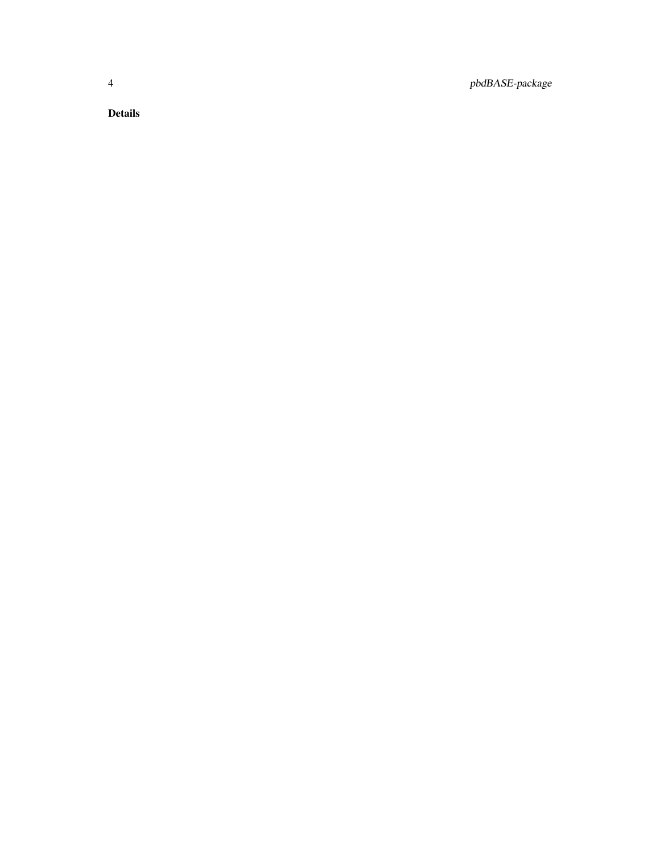4 pbdBASE-package

Details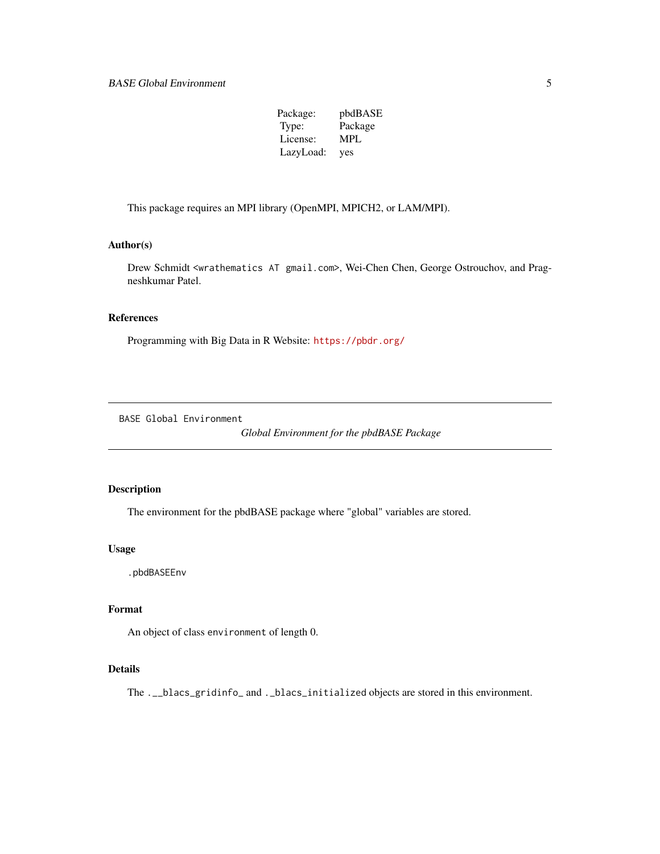| Package:  | pbdBASE    |
|-----------|------------|
| Type:     | Package    |
| License:  | <b>MPL</b> |
| LazyLoad: | yes        |

<span id="page-4-0"></span>This package requires an MPI library (OpenMPI, MPICH2, or LAM/MPI).

#### Author(s)

Drew Schmidt <wrathematics AT gmail.com>, Wei-Chen Chen, George Ostrouchov, and Pragneshkumar Patel.

#### References

Programming with Big Data in R Website: <https://pbdr.org/>

BASE Global Environment

*Global Environment for the pbdBASE Package*

## Description

The environment for the pbdBASE package where "global" variables are stored.

#### Usage

.pbdBASEEnv

## Format

An object of class environment of length 0.

#### Details

The .\_\_blacs\_gridinfo\_ and .\_blacs\_initialized objects are stored in this environment.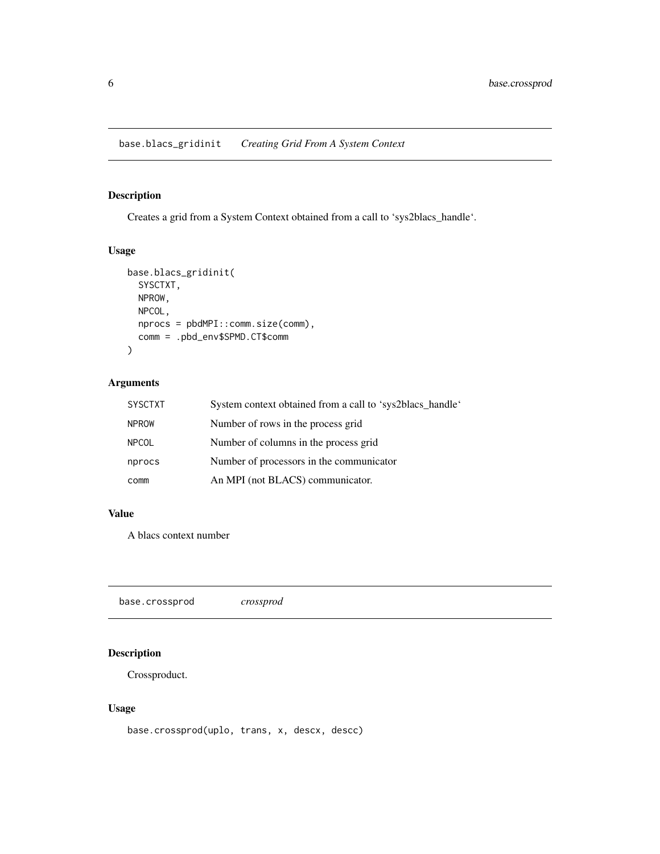## <span id="page-5-0"></span>Description

Creates a grid from a System Context obtained from a call to 'sys2blacs\_handle'.

## Usage

```
base.blacs_gridinit(
  SYSCTXT,
 NPROW,
 NPCOL,
 nprocs = pbdMPI::comm.size(comm),
 comm = .pbd_env$SPMD.CT$comm
)
```
## Arguments

| <b>SYSCTXT</b> | System context obtained from a call to 'sys2blacs_handle' |
|----------------|-----------------------------------------------------------|
| <b>NPROW</b>   | Number of rows in the process grid                        |
| <b>NPCOL</b>   | Number of columns in the process grid                     |
| nprocs         | Number of processors in the communicator                  |
| comm           | An MPI (not BLACS) communicator.                          |

#### Value

A blacs context number

base.crossprod *crossprod*

## Description

Crossproduct.

#### Usage

base.crossprod(uplo, trans, x, descx, descc)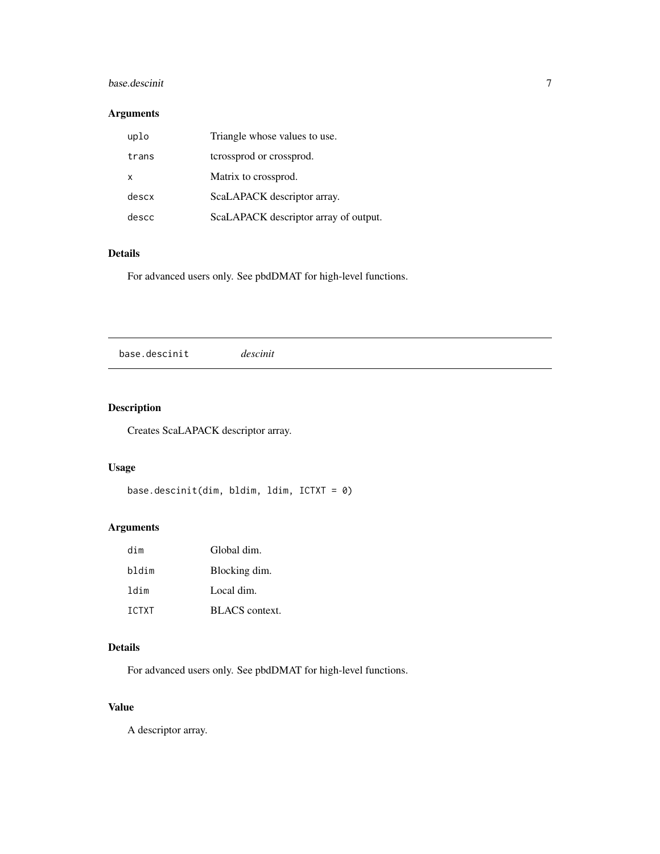## <span id="page-6-0"></span>base.descinit 7

## Arguments

| uplo     | Triangle whose values to use.         |
|----------|---------------------------------------|
| trans    | terossprod or crossprod.              |
| $\times$ | Matrix to crossprod.                  |
| descx    | ScaLAPACK descriptor array.           |
| descc    | ScaLAPACK descriptor array of output. |

#### Details

For advanced users only. See pbdDMAT for high-level functions.

## Description

Creates ScaLAPACK descriptor array.

## Usage

```
base.descinit(dim, bldim, ldim, ICTXT = 0)
```
## Arguments

| dim          | Global dim.           |
|--------------|-----------------------|
| bldim        | Blocking dim.         |
| ldim         | Local dim.            |
| <b>TCTXT</b> | <b>BLACS</b> context. |

## Details

For advanced users only. See pbdDMAT for high-level functions.

## Value

A descriptor array.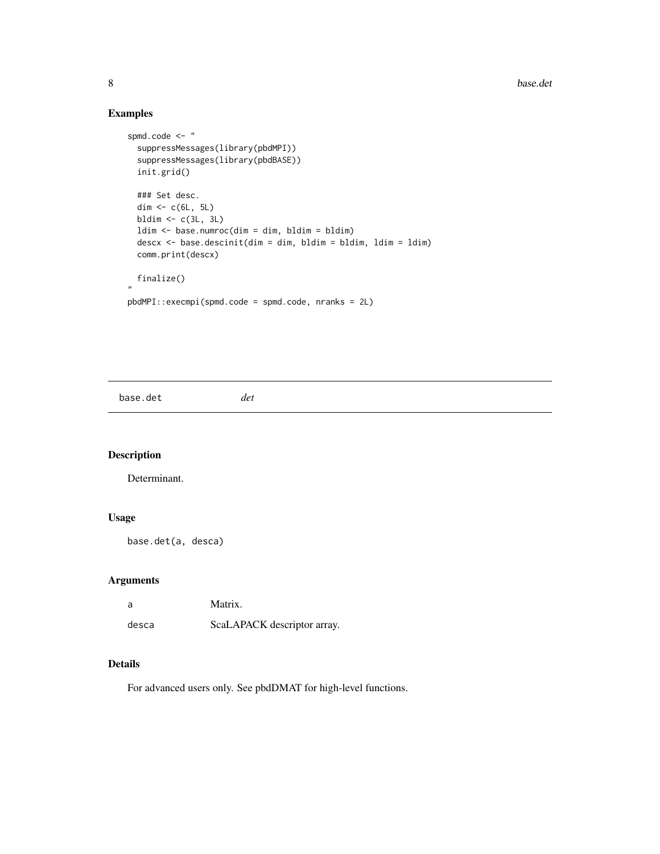## Examples

```
spmd.code <- "
  suppressMessages(library(pbdMPI))
  suppressMessages(library(pbdBASE))
  init.grid()
  ### Set desc.
  dim \leftarrow c(6L, 5L)
  bldim <- c(3L, 3L)
  ldim <- base.numroc(dim = dim, bldim = bldim)
  descx <- base.descinit(dim = dim, bldim = bldim, ldim = ldim)
  comm.print(descx)
 finalize()
"
pbdMPI::execmpi(spmd.code = spmd.code, nranks = 2L)
```
base.det *det*

## Description

Determinant.

## Usage

base.det(a, desca)

## Arguments

| a     | Matrix.                     |
|-------|-----------------------------|
| desca | ScaLAPACK descriptor array. |

## Details

<span id="page-7-0"></span>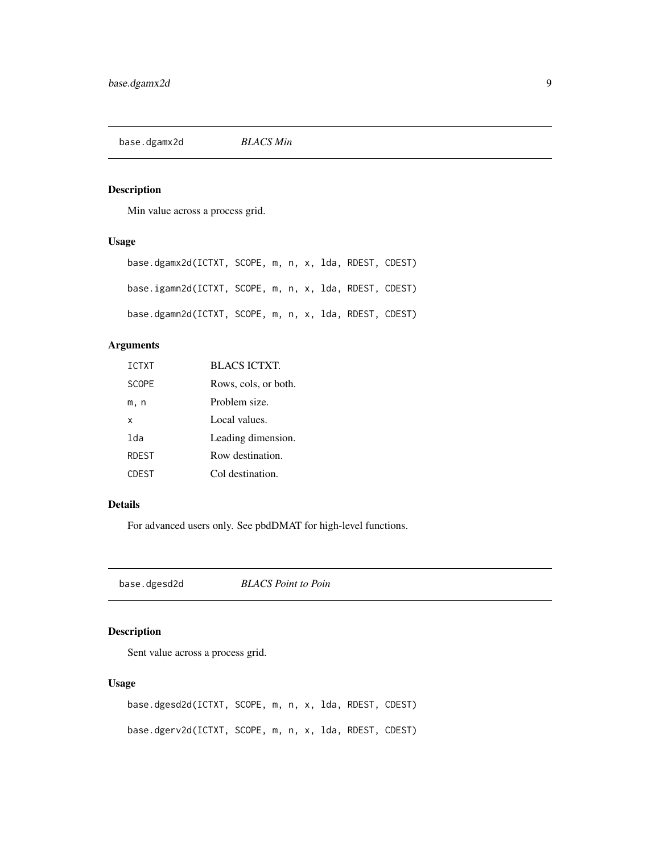<span id="page-8-0"></span>base.dgamx2d *BLACS Min*

## Description

Min value across a process grid.

## Usage

| base.dgamx2d(ICTXT, SCOPE, m, n, x, lda, RDEST, CDEST) |  |  |  |  |
|--------------------------------------------------------|--|--|--|--|
| base.igamn2d(ICTXT, SCOPE, m, n, x, lda, RDEST, CDEST) |  |  |  |  |
| base.dgamn2d(ICTXT, SCOPE, m, n, x, lda, RDEST, CDEST) |  |  |  |  |

## Arguments

| <b>ICTXT</b> | <b>BLACS ICTXT.</b>  |
|--------------|----------------------|
| <b>SCOPE</b> | Rows, cols, or both. |
| m, n         | Problem size.        |
| x            | Local values.        |
| lda          | Leading dimension.   |
| <b>RDEST</b> | Row destination.     |
| CDEST        | Col destination.     |

## Details

For advanced users only. See pbdDMAT for high-level functions.

base.dgesd2d *BLACS Point to Poin*

## Description

Sent value across a process grid.

## Usage

base.dgesd2d(ICTXT, SCOPE, m, n, x, lda, RDEST, CDEST) base.dgerv2d(ICTXT, SCOPE, m, n, x, lda, RDEST, CDEST)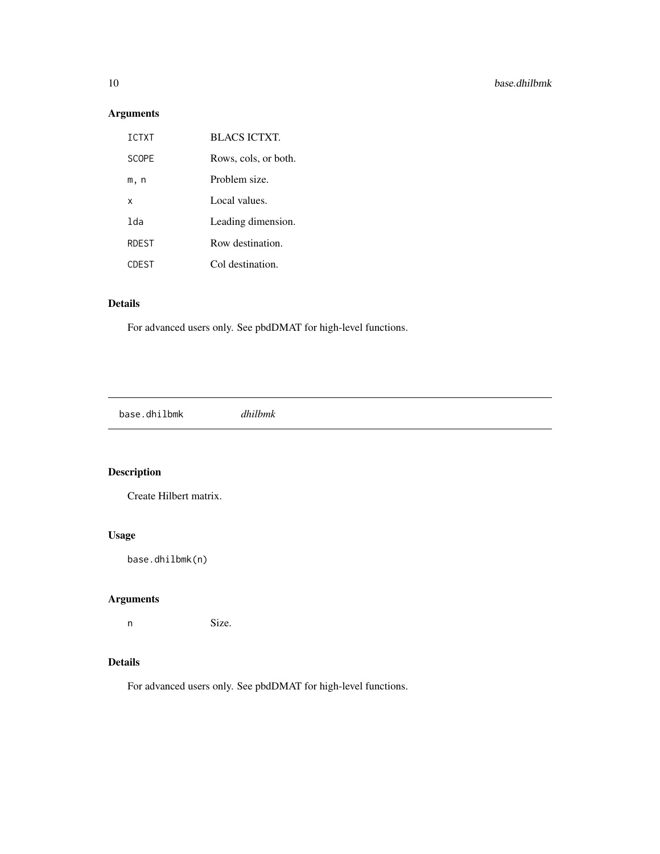## Arguments

| <b>TCTXT</b> | <b>BLACS ICTXT.</b>  |
|--------------|----------------------|
| <b>SCOPF</b> | Rows, cols, or both. |
| m, n         | Problem size.        |
| x            | Local values.        |
| 1da          | Leading dimension.   |
| <b>RDEST</b> | Row destination.     |
| <b>CDEST</b> | Col destination.     |

## Details

For advanced users only. See pbdDMAT for high-level functions.

base.dhilbmk *dhilbmk*

## Description

Create Hilbert matrix.

## Usage

base.dhilbmk(n)

## Arguments

n Size.

## Details

<span id="page-9-0"></span>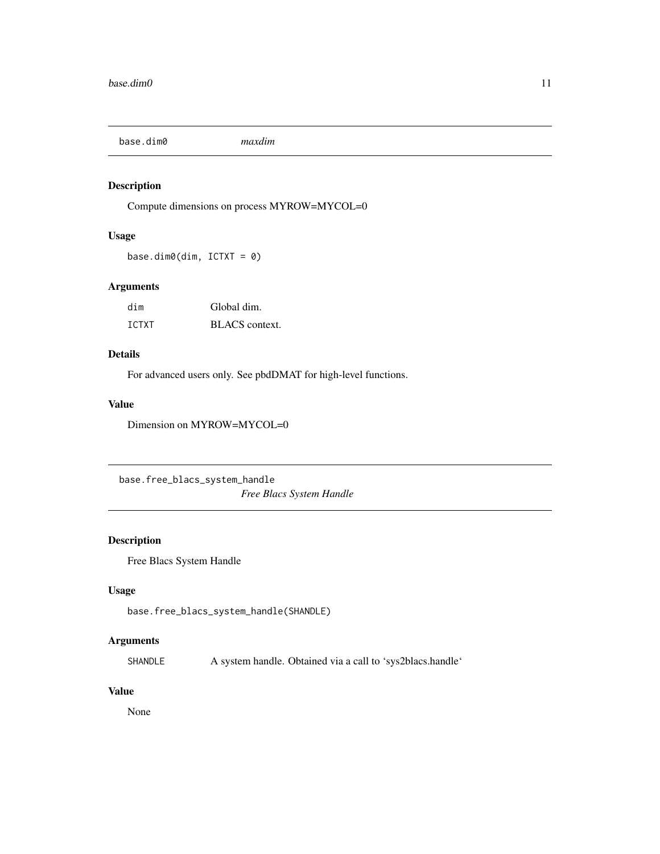<span id="page-10-0"></span>base.dim0 *maxdim*

## Description

Compute dimensions on process MYROW=MYCOL=0

#### Usage

base.dim0(dim, ICTXT = 0)

#### Arguments

| dim   | Global dim.    |
|-------|----------------|
| ICTXT | BLACS context. |

#### Details

For advanced users only. See pbdDMAT for high-level functions.

#### Value

Dimension on MYROW=MYCOL=0

base.free\_blacs\_system\_handle *Free Blacs System Handle*

## Description

Free Blacs System Handle

## Usage

base.free\_blacs\_system\_handle(SHANDLE)

## Arguments

SHANDLE A system handle. Obtained via a call to 'sys2blacs.handle'

#### Value

None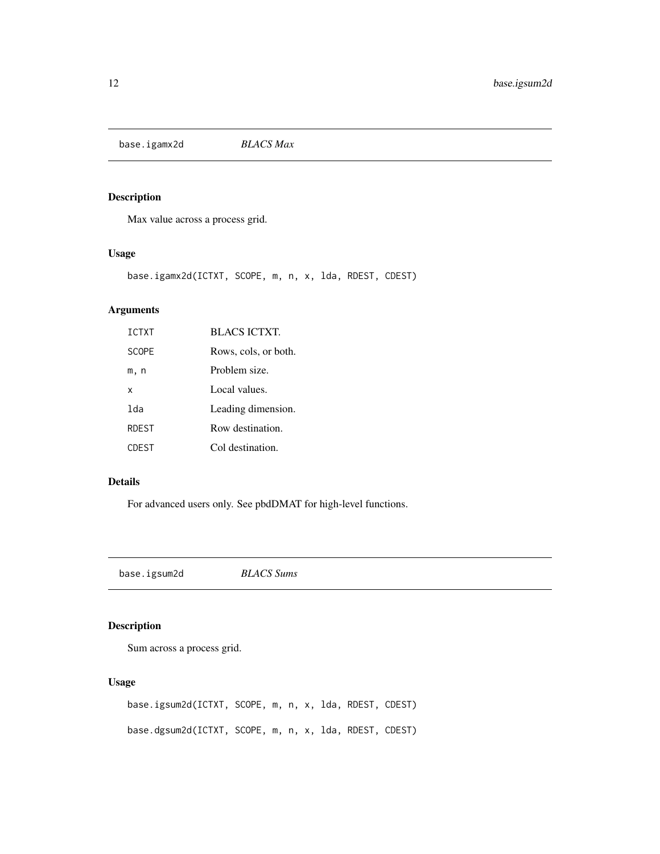<span id="page-11-0"></span>base.igamx2d *BLACS Max*

## Description

Max value across a process grid.

## Usage

base.igamx2d(ICTXT, SCOPE, m, n, x, lda, RDEST, CDEST)

## Arguments

| <b>ICTXT</b> | <b>BLACS ICTXT.</b>  |
|--------------|----------------------|
| <b>SCOPE</b> | Rows, cols, or both. |
| m, n         | Problem size.        |
| X            | Local values.        |
| lda          | Leading dimension.   |
| <b>RDEST</b> | Row destination.     |
| <b>CDEST</b> | Col destination.     |

## Details

For advanced users only. See pbdDMAT for high-level functions.

base.igsum2d *BLACS Sums*

## Description

Sum across a process grid.

#### Usage

base.igsum2d(ICTXT, SCOPE, m, n, x, lda, RDEST, CDEST) base.dgsum2d(ICTXT, SCOPE, m, n, x, lda, RDEST, CDEST)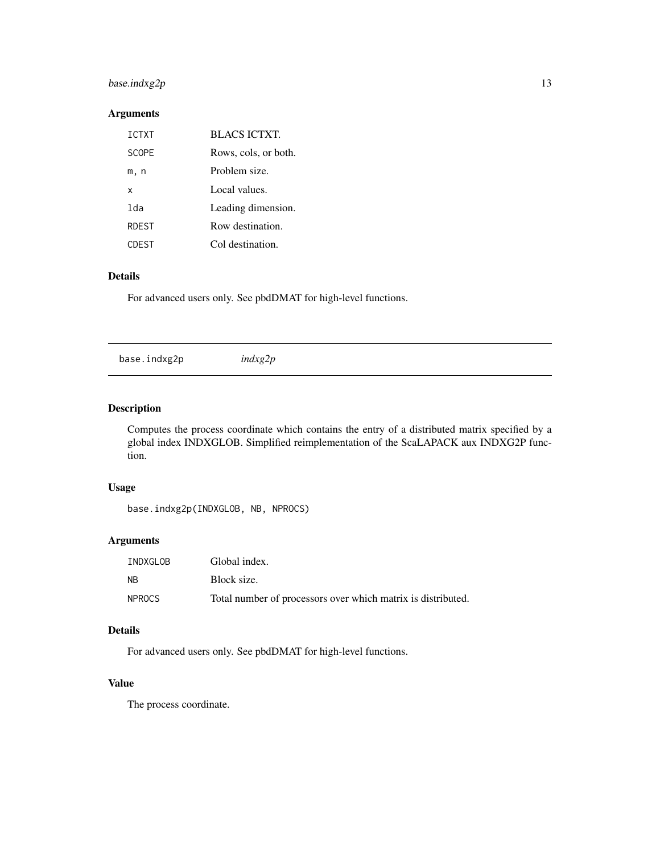## <span id="page-12-0"></span> $base.index2p$  13

#### Arguments

| <b>TCTXT</b> | <b>BLACS ICTXT.</b>  |
|--------------|----------------------|
| <b>SCOPF</b> | Rows, cols, or both. |
| m, n         | Problem size.        |
| x            | Local values.        |
| 1da          | Leading dimension.   |
| <b>RDEST</b> | Row destination.     |
| CDEST        | Col destination.     |

#### Details

For advanced users only. See pbdDMAT for high-level functions.

base.indxg2p *indxg2p*

## Description

Computes the process coordinate which contains the entry of a distributed matrix specified by a global index INDXGLOB. Simplified reimplementation of the ScaLAPACK aux INDXG2P function.

#### Usage

base.indxg2p(INDXGLOB, NB, NPROCS)

#### Arguments

| INDXGLOB      | Global index.                                                |
|---------------|--------------------------------------------------------------|
| <b>NB</b>     | Block size.                                                  |
| <b>NPROCS</b> | Total number of processors over which matrix is distributed. |

## Details

For advanced users only. See pbdDMAT for high-level functions.

#### Value

The process coordinate.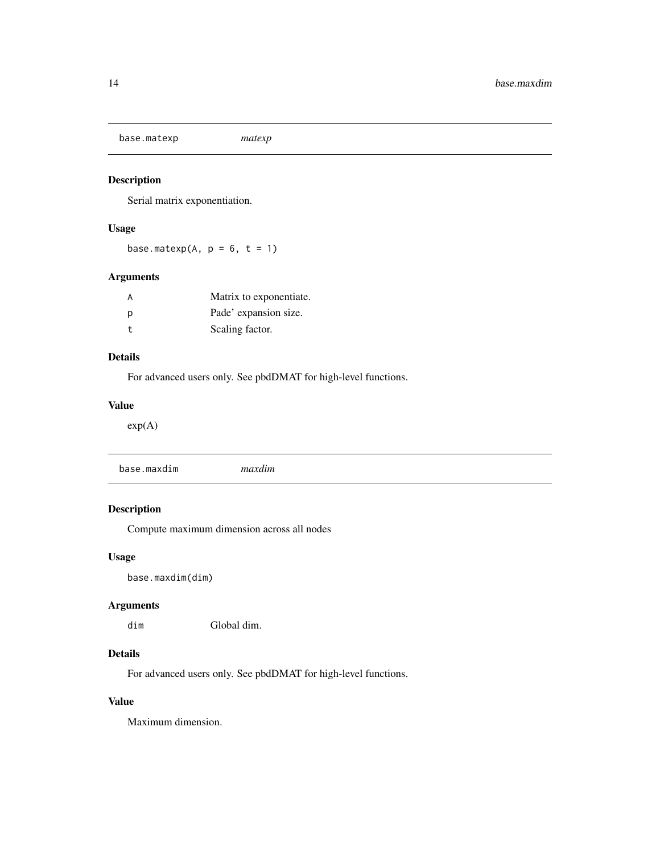<span id="page-13-0"></span>base.matexp *matexp*

## Description

Serial matrix exponentiation.

## Usage

base.matexp(A,  $p = 6$ ,  $t = 1$ )

## Arguments

| A  | Matrix to exponentiate. |
|----|-------------------------|
| D  | Pade' expansion size.   |
| t. | Scaling factor.         |

## Details

For advanced users only. See pbdDMAT for high-level functions.

#### Value

exp(A)

base.maxdim *maxdim*

## Description

Compute maximum dimension across all nodes

#### Usage

base.maxdim(dim)

## Arguments

dim Global dim.

## Details

For advanced users only. See pbdDMAT for high-level functions.

## Value

Maximum dimension.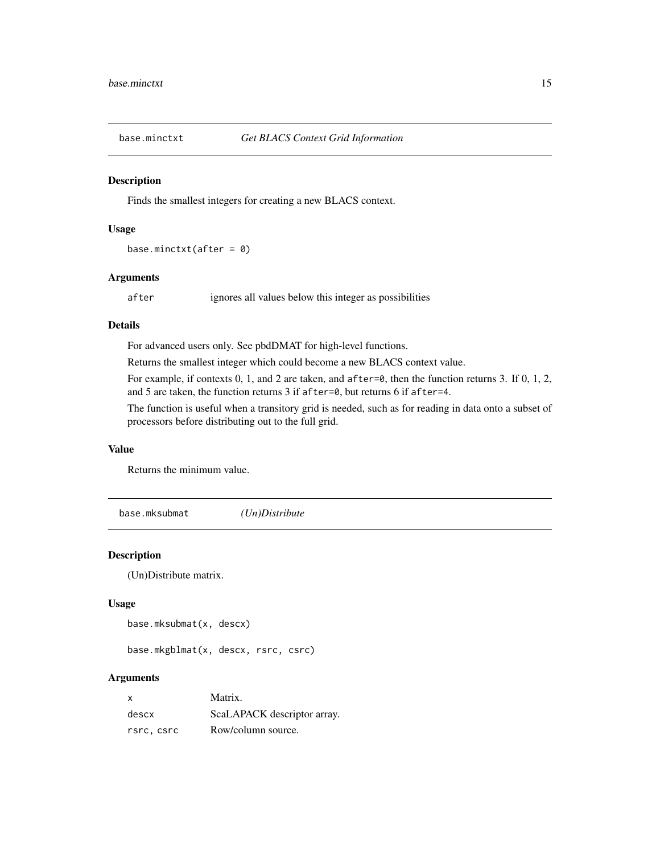<span id="page-14-0"></span>

#### Description

Finds the smallest integers for creating a new BLACS context.

#### Usage

```
base.minctxt(after = 0)
```
#### Arguments

after ignores all values below this integer as possibilities

#### Details

For advanced users only. See pbdDMAT for high-level functions.

Returns the smallest integer which could become a new BLACS context value.

For example, if contexts 0, 1, and 2 are taken, and after=0, then the function returns 3. If 0, 1, 2, and 5 are taken, the function returns 3 if after=0, but returns 6 if after=4.

The function is useful when a transitory grid is needed, such as for reading in data onto a subset of processors before distributing out to the full grid.

#### Value

Returns the minimum value.

base.mksubmat *(Un)Distribute*

#### Description

(Un)Distribute matrix.

#### Usage

base.mksubmat(x, descx)

base.mkgblmat(x, descx, rsrc, csrc)

#### Arguments

| X          | Matrix.                     |
|------------|-----------------------------|
| descx      | ScaLAPACK descriptor array. |
| rsrc, csrc | Row/column source.          |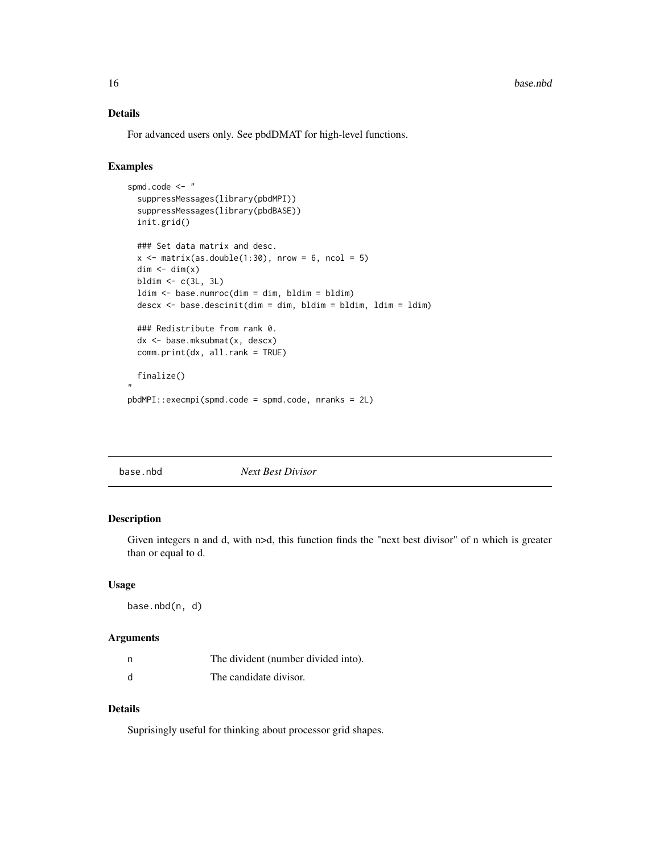## <span id="page-15-0"></span>Details

For advanced users only. See pbdDMAT for high-level functions.

## Examples

```
spmd.code <- "
 suppressMessages(library(pbdMPI))
 suppressMessages(library(pbdBASE))
 init.grid()
 ### Set data matrix and desc.
 x \le matrix(as.double(1:30), nrow = 6, ncol = 5)
 dim < - dim(x)bldim \leq c(3L, 3L)
 ldim <- base.numroc(dim = dim, bldim = bldim)
 descx <- base.descinit(dim = dim, bldim = bldim, ldim = ldim)
 ### Redistribute from rank 0.
 dx <- base.mksubmat(x, descx)
 comm.print(dx, all.rank = TRUE)
 finalize()
"
pbdMPI::execmpi(spmd.code = spmd.code, nranks = 2L)
```

|--|

## Description

Given integers n and d, with n>d, this function finds the "next best divisor" of n which is greater than or equal to d.

#### Usage

base.nbd(n, d)

#### Arguments

| n | The divident (number divided into). |
|---|-------------------------------------|
| d | The candidate divisor.              |

#### Details

Suprisingly useful for thinking about processor grid shapes.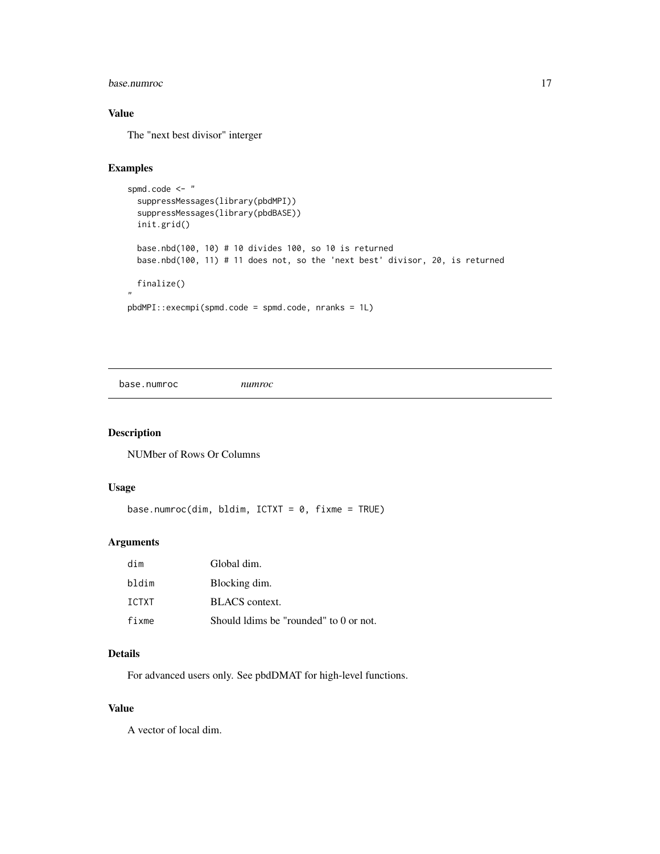#### <span id="page-16-0"></span>base.numroc 17

## Value

The "next best divisor" interger

#### Examples

```
spmd.code <- "
 suppressMessages(library(pbdMPI))
 suppressMessages(library(pbdBASE))
 init.grid()
 base.nbd(100, 10) # 10 divides 100, so 10 is returned
 base.nbd(100, 11) # 11 does not, so the 'next best' divisor, 20, is returned
 finalize()
"
pbdMPI::execmpi(spmd.code = spmd.code, nranks = 1L)
```
base.numroc *numroc*

## Description

NUMber of Rows Or Columns

#### Usage

```
base.numroc(dim, bldim, ICTXT = 0, fixme = TRUE)
```
#### Arguments

| dim   | Global dim.                            |
|-------|----------------------------------------|
| bldim | Blocking dim.                          |
| TCTXT | BLACS context.                         |
| fixme | Should ldims be "rounded" to 0 or not. |

#### Details

For advanced users only. See pbdDMAT for high-level functions.

#### Value

A vector of local dim.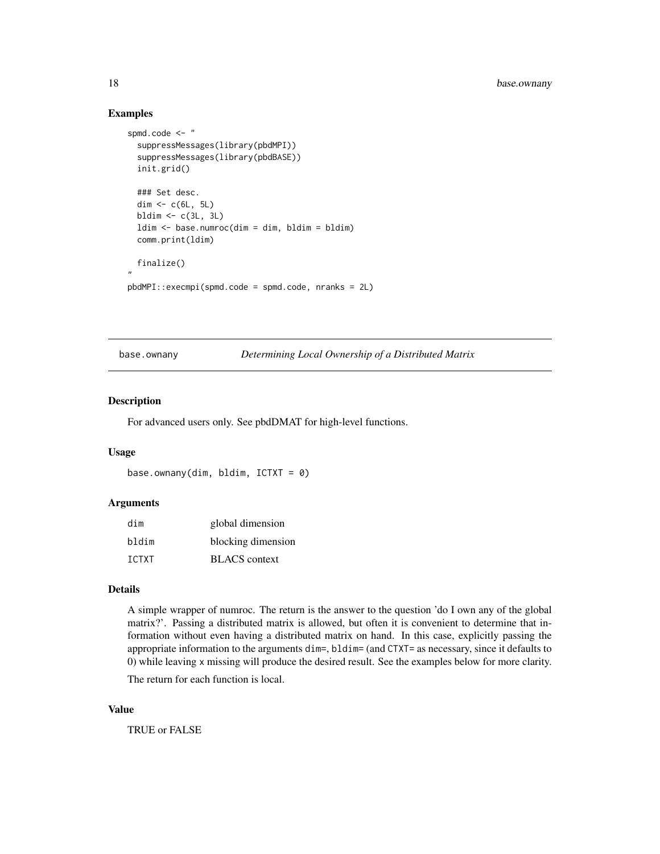#### Examples

```
spmd.code <- "
 suppressMessages(library(pbdMPI))
 suppressMessages(library(pbdBASE))
 init.grid()
 ### Set desc.
 dim \leftarrow c(6L, 5L)
 bldim \leq c(3L, 3L)
 ldim <- base.numroc(dim = dim, bldim = bldim)
 comm.print(ldim)
 finalize()
"
pbdMPI::execmpi(spmd.code = spmd.code, nranks = 2L)
```
base.ownany *Determining Local Ownership of a Distributed Matrix*

#### Description

For advanced users only. See pbdDMAT for high-level functions.

#### Usage

```
base.ownany(dim, bldim, ICTXT = 0)
```
#### Arguments

| dim   | global dimension     |
|-------|----------------------|
| bldim | blocking dimension   |
| TCTXT | <b>BLACS</b> context |

#### Details

A simple wrapper of numroc. The return is the answer to the question 'do I own any of the global matrix?'. Passing a distributed matrix is allowed, but often it is convenient to determine that information without even having a distributed matrix on hand. In this case, explicitly passing the appropriate information to the arguments dim=, bldim= (and CTXT= as necessary, since it defaults to 0) while leaving x missing will produce the desired result. See the examples below for more clarity.

The return for each function is local.

#### Value

TRUE or FALSE

<span id="page-17-0"></span>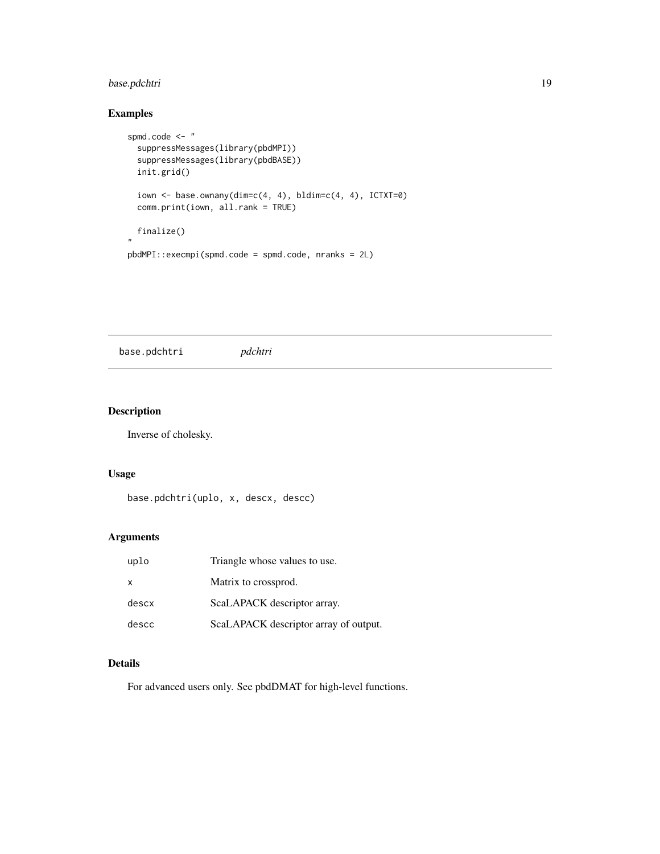## <span id="page-18-0"></span>base.pdchtri 19

## Examples

```
spmd.code <- "
  suppressMessages(library(pbdMPI))
  suppressMessages(library(pbdBASE))
  init.grid()
  iown <- base.ownany(dim=c(4, 4), bldim=c(4, 4), ICTXT=0)
  comm.print(iown, all.rank = TRUE)
  finalize()
"
pbdMPI::execmpi(spmd.code = spmd.code, nranks = 2L)
```
base.pdchtri *pdchtri*

## Description

Inverse of cholesky.

#### Usage

base.pdchtri(uplo, x, descx, descc)

#### Arguments

| uplo         | Triangle whose values to use.         |
|--------------|---------------------------------------|
| $\mathsf{x}$ | Matrix to crossprod.                  |
| descx        | ScaLAPACK descriptor array.           |
| descc        | ScaLAPACK descriptor array of output. |

#### Details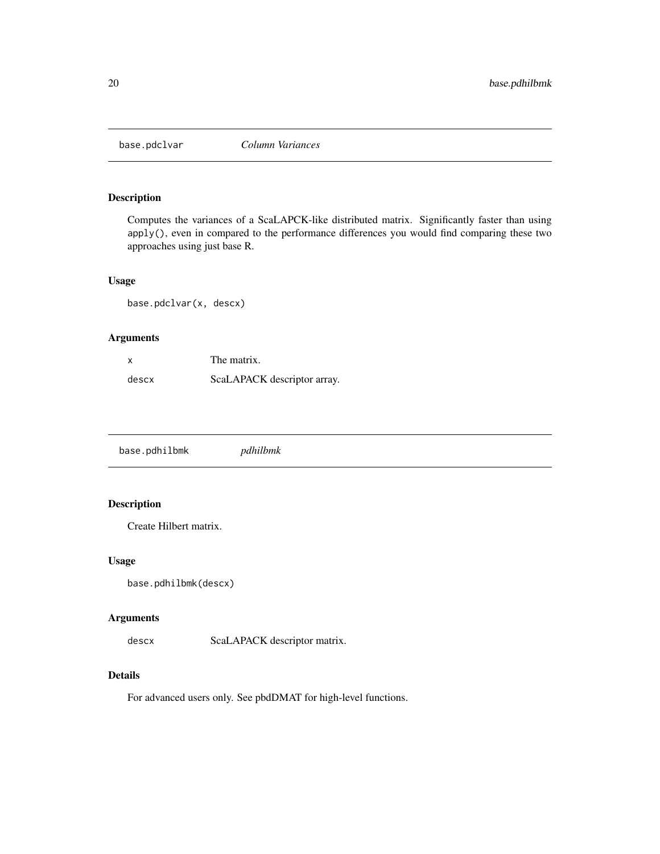<span id="page-19-0"></span>

## Description

Computes the variances of a ScaLAPCK-like distributed matrix. Significantly faster than using apply(), even in compared to the performance differences you would find comparing these two approaches using just base R.

#### Usage

base.pdclvar(x, descx)

## Arguments

| $\boldsymbol{\mathsf{x}}$ | The matrix.                 |
|---------------------------|-----------------------------|
| descx                     | ScaLAPACK descriptor array. |

base.pdhilbmk *pdhilbmk*

## Description

Create Hilbert matrix.

#### Usage

```
base.pdhilbmk(descx)
```
#### Arguments

descx ScaLAPACK descriptor matrix.

#### Details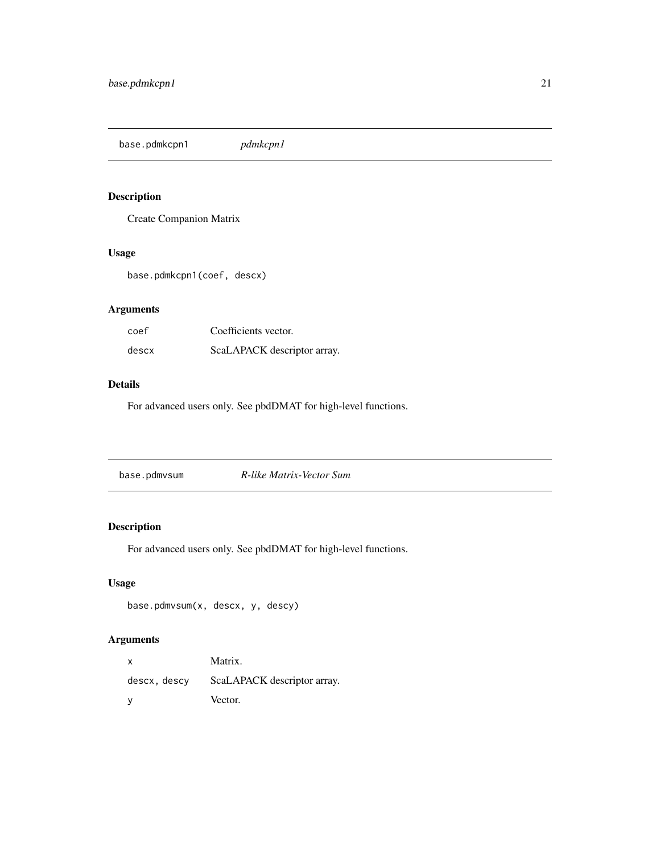<span id="page-20-0"></span>base.pdmkcpn1 *pdmkcpn1*

## Description

Create Companion Matrix

## Usage

base.pdmkcpn1(coef, descx)

## Arguments

| coef  | Coefficients vector.        |
|-------|-----------------------------|
| descx | ScaLAPACK descriptor array. |

#### Details

For advanced users only. See pbdDMAT for high-level functions.

| base.pdmvsum | R-like Matrix-Vector Sum |
|--------------|--------------------------|

## Description

For advanced users only. See pbdDMAT for high-level functions.

## Usage

```
base.pdmvsum(x, descx, y, descy)
```
## Arguments

| X            | Matrix.                     |
|--------------|-----------------------------|
| descx, descy | ScaLAPACK descriptor array. |
| - V          | Vector.                     |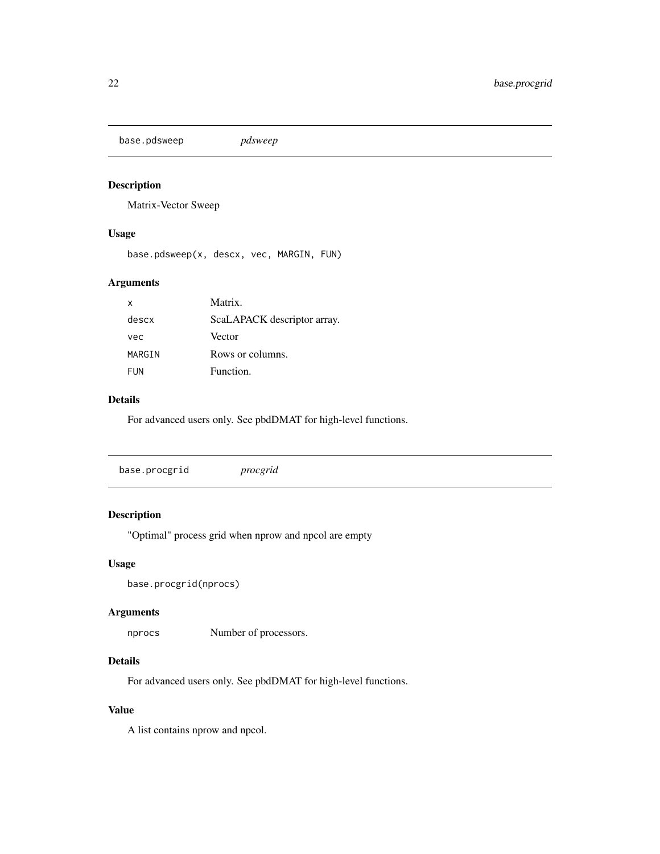<span id="page-21-0"></span>base.pdsweep *pdsweep*

## Description

Matrix-Vector Sweep

## Usage

base.pdsweep(x, descx, vec, MARGIN, FUN)

## Arguments

| X          | Matrix.                     |
|------------|-----------------------------|
| descx      | ScaLAPACK descriptor array. |
| vec        | Vector                      |
| MARGIN     | Rows or columns.            |
| <b>FUN</b> | Function.                   |

## Details

For advanced users only. See pbdDMAT for high-level functions.

## Description

"Optimal" process grid when nprow and npcol are empty

## Usage

```
base.procgrid(nprocs)
```
#### Arguments

nprocs Number of processors.

## Details

For advanced users only. See pbdDMAT for high-level functions.

#### Value

A list contains nprow and npcol.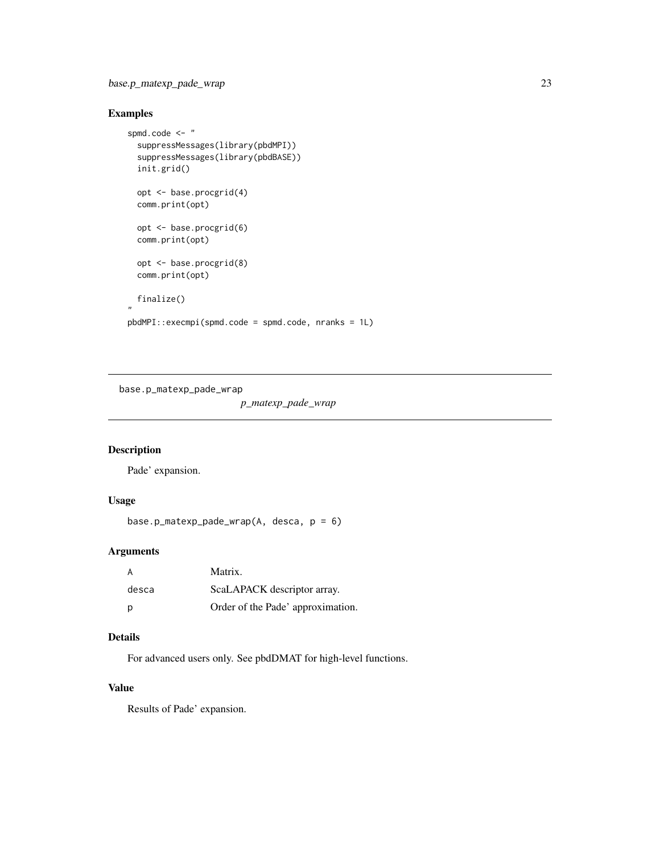## <span id="page-22-0"></span>Examples

```
spmd.code <- "
  suppressMessages(library(pbdMPI))
  suppressMessages(library(pbdBASE))
  init.grid()
  opt <- base.procgrid(4)
  comm.print(opt)
  opt <- base.procgrid(6)
  comm.print(opt)
  opt <- base.procgrid(8)
  comm.print(opt)
  finalize()
,,
pbdMPI::execmpi(spmd.code = spmd.code, nranks = 1L)
```
base.p\_matexp\_pade\_wrap

*p\_matexp\_pade\_wrap*

## Description

Pade' expansion.

#### Usage

```
base.p_matexp_pade_wrap(A, desca, p = 6)
```
## Arguments

| A     | Matrix.                           |
|-------|-----------------------------------|
| desca | ScaLAPACK descriptor array.       |
| D     | Order of the Pade' approximation. |

## Details

For advanced users only. See pbdDMAT for high-level functions.

## Value

Results of Pade' expansion.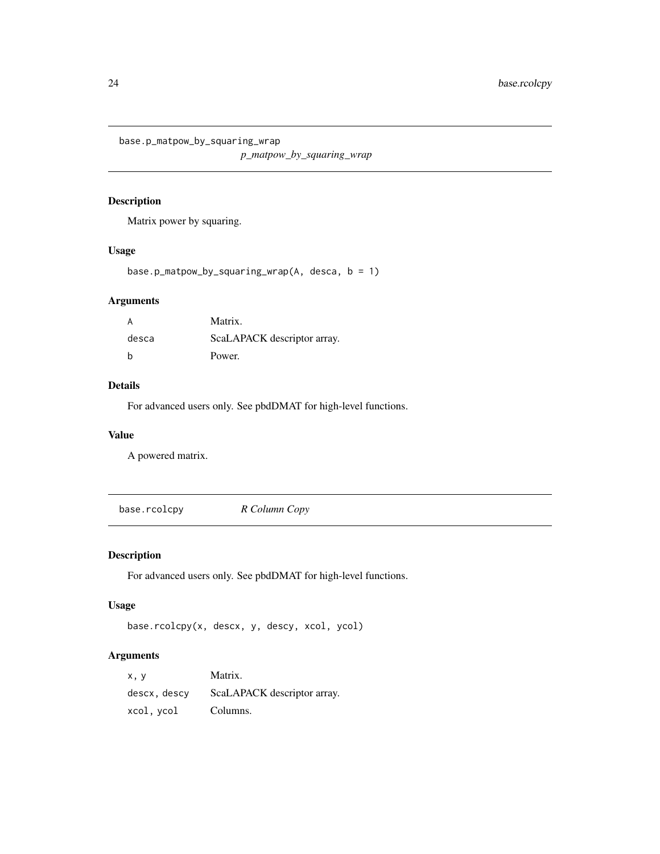<span id="page-23-0"></span>base.p\_matpow\_by\_squaring\_wrap

*p\_matpow\_by\_squaring\_wrap*

## Description

Matrix power by squaring.

#### Usage

base.p\_matpow\_by\_squaring\_wrap(A, desca, b = 1)

## Arguments

| A     | Matrix.                     |
|-------|-----------------------------|
| desca | ScaLAPACK descriptor array. |
| h     | Power.                      |

## Details

For advanced users only. See pbdDMAT for high-level functions.

#### Value

A powered matrix.

base.rcolcpy *R Column Copy*

## Description

For advanced users only. See pbdDMAT for high-level functions.

#### Usage

```
base.rcolcpy(x, descx, y, descy, xcol, ycol)
```
## Arguments

| x.v          | Matrix.                     |
|--------------|-----------------------------|
| descx, descy | ScaLAPACK descriptor array. |
| xcol, ycol   | Columns.                    |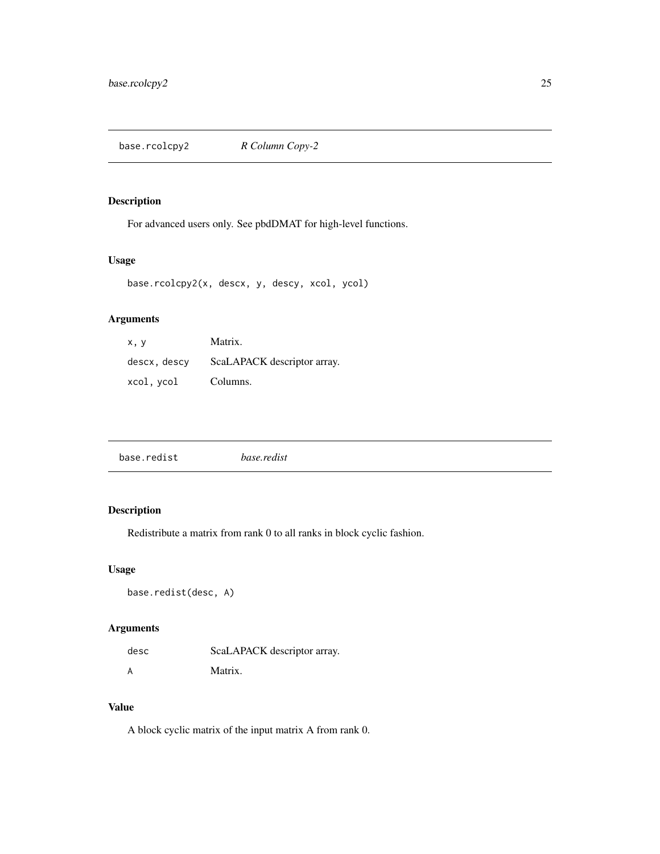<span id="page-24-0"></span>base.rcolcpy2 *R Column Copy-2*

## Description

For advanced users only. See pbdDMAT for high-level functions.

## Usage

base.rcolcpy2(x, descx, y, descy, xcol, ycol)

## Arguments

| x, y         | Matrix.                     |
|--------------|-----------------------------|
| descx, descy | ScaLAPACK descriptor array. |
| xcol.vcol    | Columns.                    |

| base.redist | <i>base.redist</i> |  |
|-------------|--------------------|--|
|             |                    |  |

## Description

Redistribute a matrix from rank 0 to all ranks in block cyclic fashion.

## Usage

```
base.redist(desc, A)
```
## Arguments

| desc | ScaLAPACK descriptor array. |
|------|-----------------------------|
|      | Matrix.                     |

## Value

A block cyclic matrix of the input matrix A from rank 0.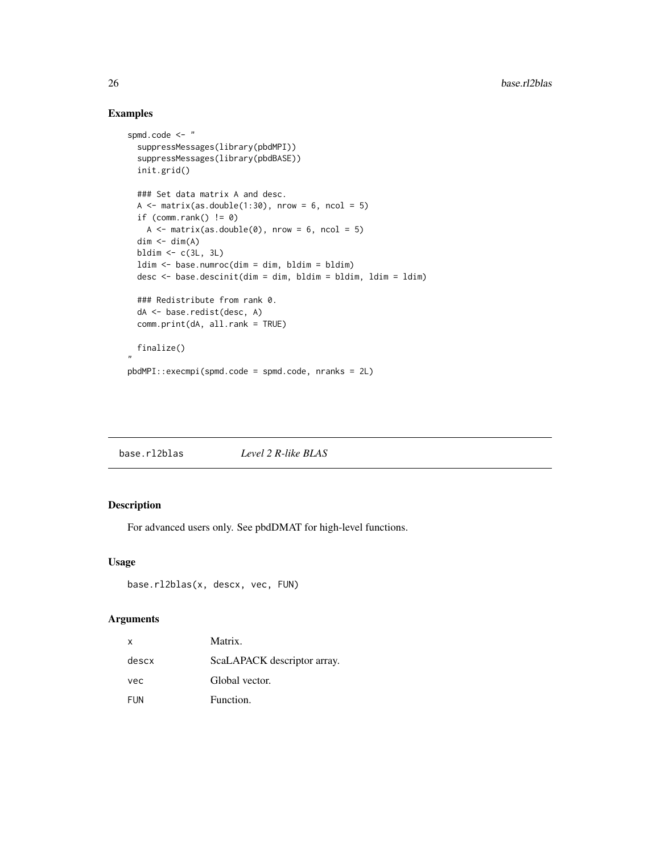## Examples

```
spmd.code <- "
 suppressMessages(library(pbdMPI))
 suppressMessages(library(pbdBASE))
 init.grid()
 ### Set data matrix A and desc.
 A \leq matrix(as.double(1:30), nrow = 6, ncol = 5)
 if (comm.rank() != 0)A \leq - matrix(as.double(0), nrow = 6, ncol = 5)
 dim < - dim(A)bldim \leq c(3L, 3L)
 ldim <- base.numroc(dim = dim, bldim = bldim)
 desc <- base.descinit(dim = dim, bldim = bldim, ldim = ldim)
 ### Redistribute from rank 0.
 dA <- base.redist(desc, A)
 comm.print(dA, all.rank = TRUE)
 finalize()
"
pbdMPI::execmpi(spmd.code = spmd.code, nranks = 2L)
```
base.rl2blas *Level 2 R-like BLAS*

## Description

For advanced users only. See pbdDMAT for high-level functions.

#### Usage

```
base.rl2blas(x, descx, vec, FUN)
```
#### Arguments

| x     | Matrix.                     |
|-------|-----------------------------|
| descx | ScaLAPACK descriptor array. |
| vec   | Global vector.              |
| FUN   | Function.                   |

<span id="page-25-0"></span>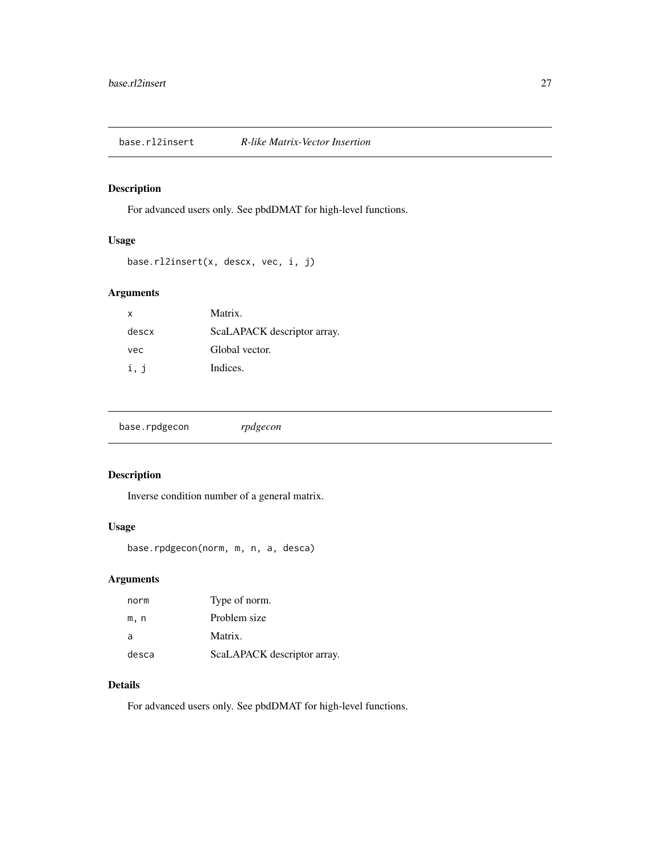<span id="page-26-0"></span>base.rl2insert *R-like Matrix-Vector Insertion*

## Description

For advanced users only. See pbdDMAT for high-level functions.

#### Usage

```
base.rl2insert(x, descx, vec, i, j)
```
## Arguments

| x     | Matrix.                     |
|-------|-----------------------------|
| descx | ScaLAPACK descriptor array. |
| vec   | Global vector.              |
| i, j  | Indices.                    |

|--|

## Description

Inverse condition number of a general matrix.

## Usage

```
base.rpdgecon(norm, m, n, a, desca)
```
## Arguments

| norm  | Type of norm.               |
|-------|-----------------------------|
| m.n   | Problem size                |
| a     | Matrix.                     |
| desca | ScaLAPACK descriptor array. |

## Details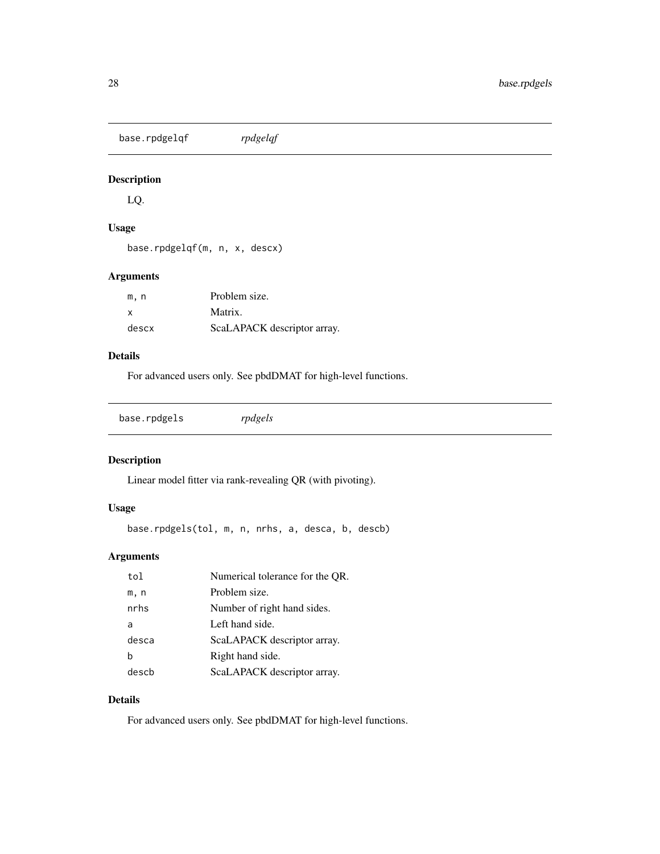<span id="page-27-0"></span>base.rpdgelqf *rpdgelqf*

## Description

LQ.

## Usage

```
base.rpdgelqf(m, n, x, descx)
```
## Arguments

| m.n          | Problem size.               |
|--------------|-----------------------------|
| $\mathbf{x}$ | Matrix.                     |
| descx        | ScaLAPACK descriptor array. |

## Details

For advanced users only. See pbdDMAT for high-level functions.

base.rpdgels *rpdgels*

## Description

Linear model fitter via rank-revealing QR (with pivoting).

## Usage

base.rpdgels(tol, m, n, nrhs, a, desca, b, descb)

## Arguments

| tol   | Numerical tolerance for the QR. |
|-------|---------------------------------|
| m, n  | Problem size.                   |
| nrhs  | Number of right hand sides.     |
| a     | Left hand side.                 |
| desca | ScaLAPACK descriptor array.     |
| h     | Right hand side.                |
| descb | ScaLAPACK descriptor array.     |

## Details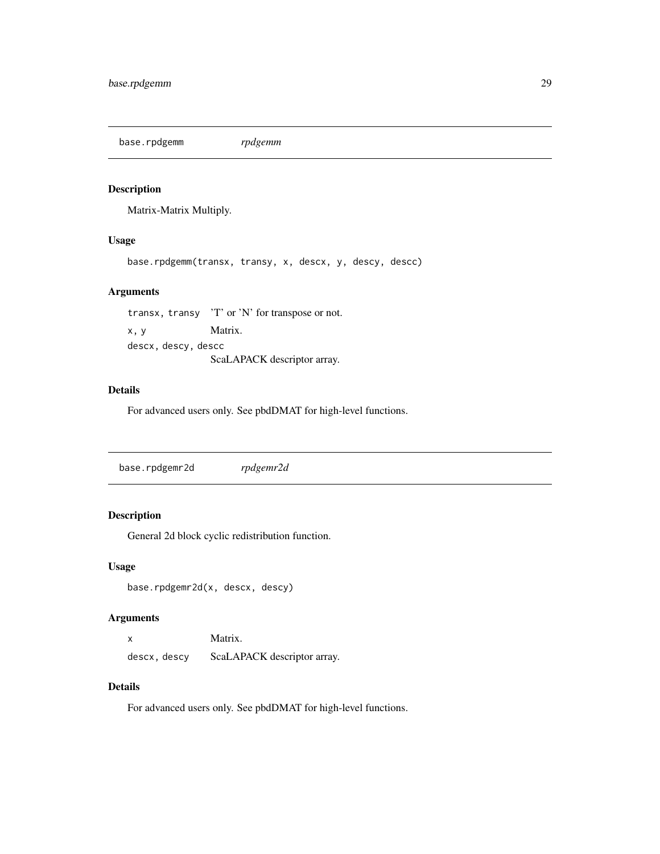<span id="page-28-0"></span>base.rpdgemm *rpdgemm*

## Description

Matrix-Matrix Multiply.

#### Usage

base.rpdgemm(transx, transy, x, descx, y, descy, descc)

#### Arguments

transx, transy 'T' or 'N' for transpose or not. x, y Matrix. descx, descy, descc ScaLAPACK descriptor array.

#### Details

For advanced users only. See pbdDMAT for high-level functions.

base.rpdgemr2d *rpdgemr2d*

## Description

General 2d block cyclic redistribution function.

#### Usage

base.rpdgemr2d(x, descx, descy)

#### Arguments

| X            | Matrix.                     |
|--------------|-----------------------------|
| descx, descy | ScaLAPACK descriptor array. |

#### Details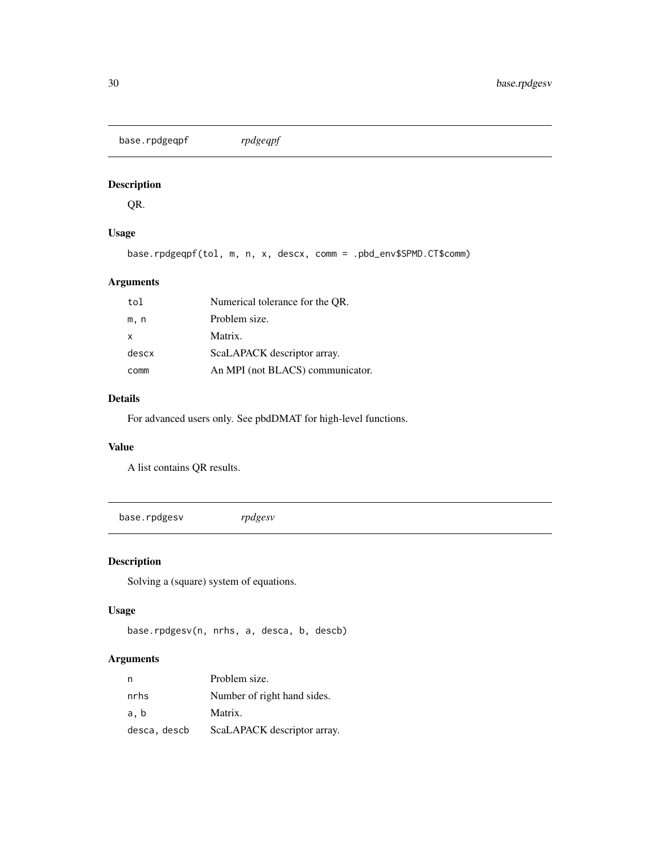<span id="page-29-0"></span>base.rpdgeqpf *rpdgeqpf*

## Description

QR.

## Usage

base.rpdgeqpf(tol, m, n, x, descx, comm = .pbd\_env\$SPMD.CT\$comm)

## Arguments

| tol   | Numerical tolerance for the OR.  |
|-------|----------------------------------|
| m, n  | Problem size.                    |
| x     | Matrix.                          |
| descx | ScaLAPACK descriptor array.      |
| comm  | An MPI (not BLACS) communicator. |

## Details

For advanced users only. See pbdDMAT for high-level functions.

#### Value

A list contains QR results.

base.rpdgesv *rpdgesv*

## Description

Solving a (square) system of equations.

## Usage

```
base.rpdgesv(n, nrhs, a, desca, b, descb)
```
## Arguments

| n            | Problem size.               |
|--------------|-----------------------------|
| nrhs         | Number of right hand sides. |
| a, b         | Matrix.                     |
| desca, descb | ScaLAPACK descriptor array. |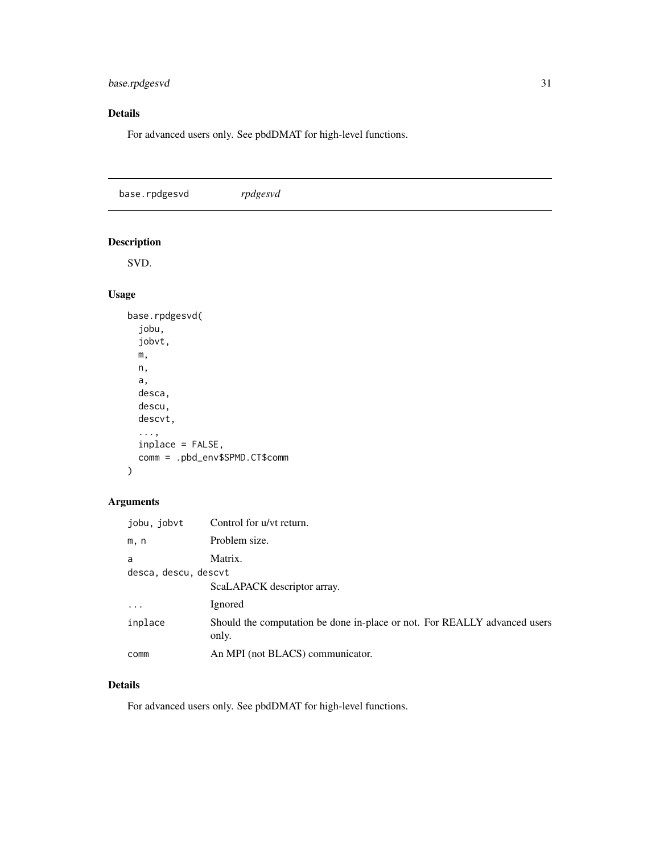## <span id="page-30-0"></span>base.rpdgesvd 31

## Details

For advanced users only. See pbdDMAT for high-level functions.

| base.rpdgesvd             | rpdgesvd |
|---------------------------|----------|
| $\mathbf{r}$ $\mathbf{r}$ |          |

## Description

SVD.

## Usage

```
base.rpdgesvd(
  jobu,
  jobvt,
  m,
  n,
  a,
  desca,
  descu,
  descvt,
  ...,
  inplace = FALSE,
  comm = .pbd_env$SPMD.CT$comm
\mathcal{L}
```
## Arguments

| jobu, jobvt             | Control for u/vt return.                                                           |
|-------------------------|------------------------------------------------------------------------------------|
| m, n                    | Problem size.                                                                      |
| a                       | Matrix.                                                                            |
| desca, descu, descvt    |                                                                                    |
|                         | ScaLAPACK descriptor array.                                                        |
| $\cdot$ $\cdot$ $\cdot$ | Ignored                                                                            |
| inplace                 | Should the computation be done in-place or not. For REALLY advanced users<br>only. |
| comm                    | An MPI (not BLACS) communicator.                                                   |

## Details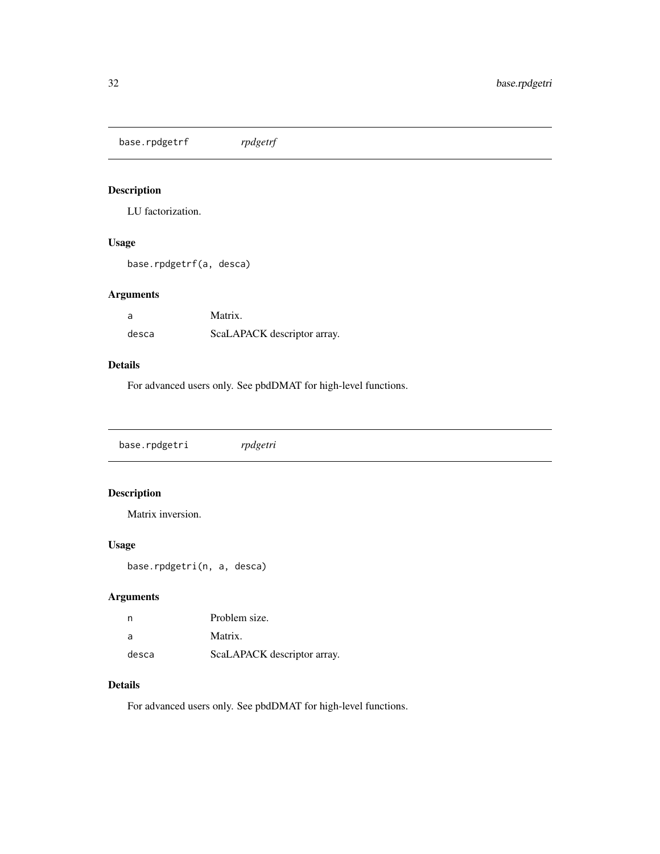<span id="page-31-0"></span>base.rpdgetrf *rpdgetrf*

## Description

LU factorization.

## Usage

base.rpdgetrf(a, desca)

## Arguments

| -a    | Matrix.                     |
|-------|-----------------------------|
| desca | ScaLAPACK descriptor array. |

#### Details

For advanced users only. See pbdDMAT for high-level functions.

base.rpdgetri *rpdgetri*

## Description

Matrix inversion.

## Usage

base.rpdgetri(n, a, desca)

## Arguments

| n        | Problem size.               |
|----------|-----------------------------|
| <b>a</b> | Matrix.                     |
| desca    | ScaLAPACK descriptor array. |

## Details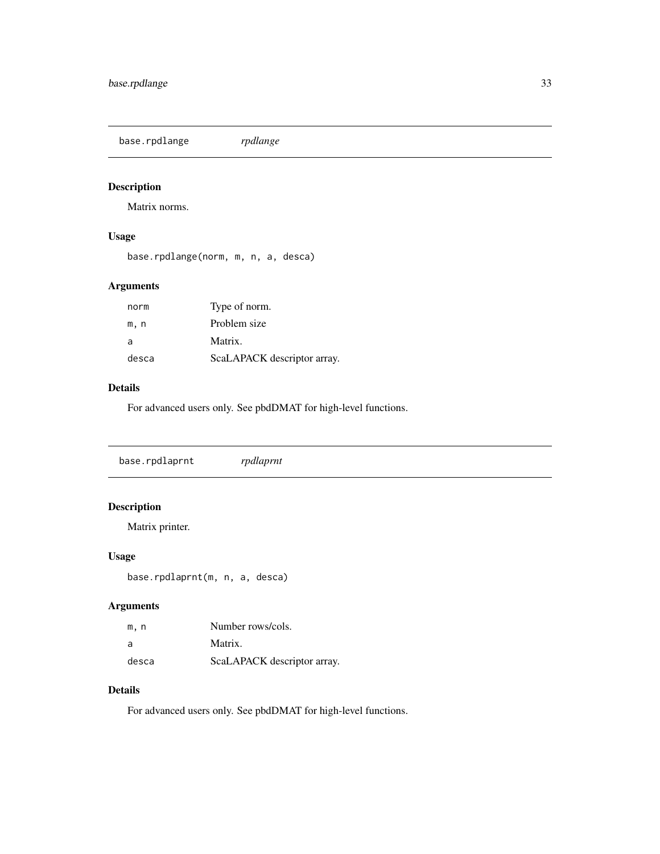<span id="page-32-0"></span>base.rpdlange *rpdlange*

## Description

Matrix norms.

## Usage

base.rpdlange(norm, m, n, a, desca)

## Arguments

| norm  | Type of norm.               |
|-------|-----------------------------|
| m.n   | Problem size                |
| a     | Matrix.                     |
| desca | ScaLAPACK descriptor array. |

#### Details

For advanced users only. See pbdDMAT for high-level functions.

## Description

Matrix printer.

## Usage

base.rpdlaprnt(m, n, a, desca)

## Arguments

| m.n   | Number rows/cols.           |
|-------|-----------------------------|
| a     | Matrix.                     |
| desca | ScaLAPACK descriptor array. |

## Details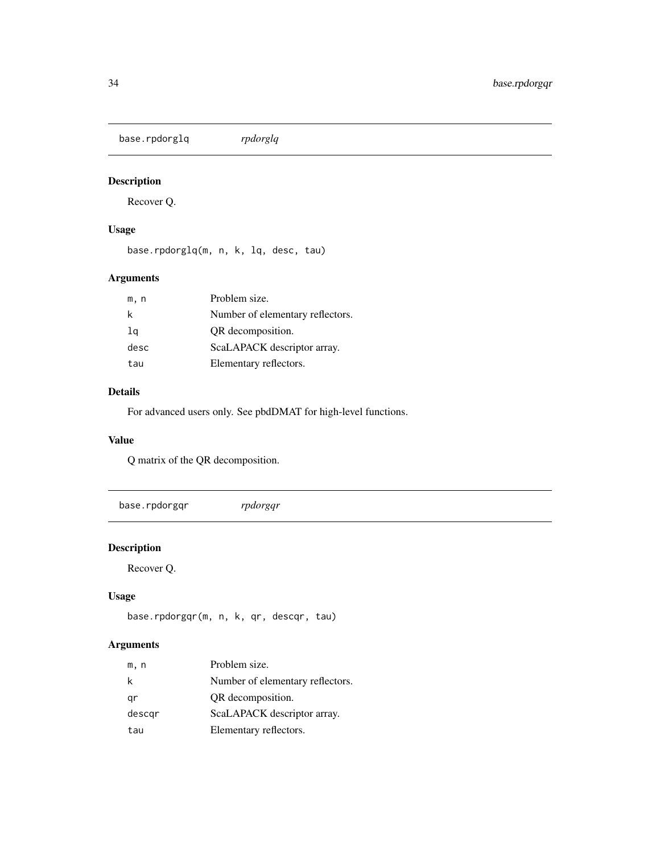<span id="page-33-0"></span>base.rpdorglq *rpdorglq*

## Description

Recover Q.

## Usage

base.rpdorglq(m, n, k, lq, desc, tau)

## Arguments

| m, n | Problem size.                    |
|------|----------------------------------|
| k    | Number of elementary reflectors. |
| lq   | OR decomposition.                |
| desc | ScaLAPACK descriptor array.      |
| tau  | Elementary reflectors.           |

## Details

For advanced users only. See pbdDMAT for high-level functions.

## Value

Q matrix of the QR decomposition.

base.rpdorgqr *rpdorgqr*

## Description

Recover Q.

## Usage

base.rpdorgqr(m, n, k, qr, descqr, tau)

## Arguments

| m, n   | Problem size.                    |
|--------|----------------------------------|
| k      | Number of elementary reflectors. |
| gr     | QR decomposition.                |
| descgr | ScaLAPACK descriptor array.      |
| tau    | Elementary reflectors.           |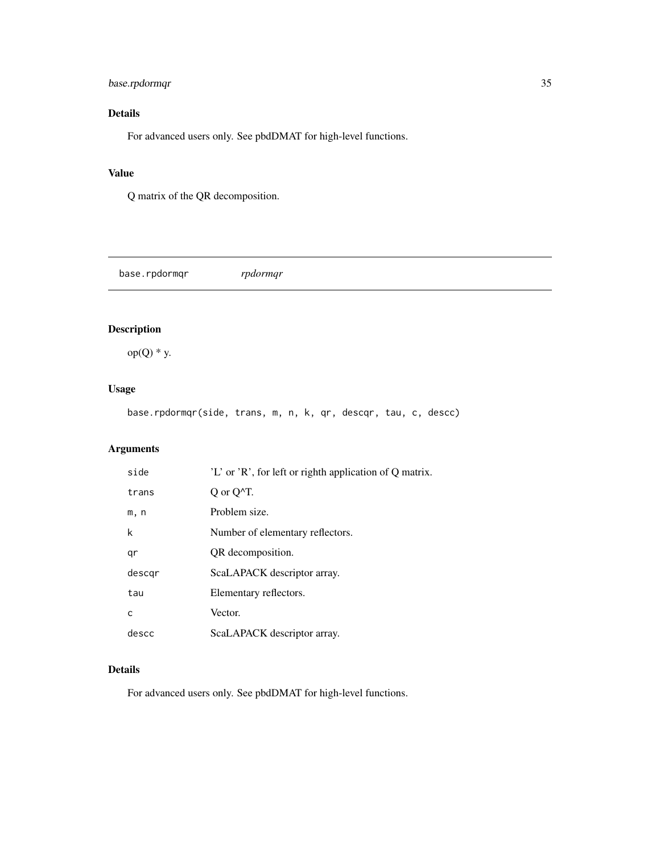## <span id="page-34-0"></span>base.rpdormqr 35

## Details

For advanced users only. See pbdDMAT for high-level functions.

## Value

Q matrix of the QR decomposition.

base.rpdormqr *rpdormqr*

## Description

 $op(Q) * y$ .

## Usage

base.rpdormqr(side, trans, m, n, k, qr, descqr, tau, c, descc)

## Arguments

| side   | 'L' or 'R', for left or righth application of Q matrix. |
|--------|---------------------------------------------------------|
| trans  | $Q$ or $Q^{\wedge}T$ .                                  |
| m, n   | Problem size.                                           |
| k      | Number of elementary reflectors.                        |
| qr     | QR decomposition.                                       |
| descar | ScaLAPACK descriptor array.                             |
| tau    | Elementary reflectors.                                  |
| C      | Vector.                                                 |
| descc  | ScaLAPACK descriptor array.                             |

## Details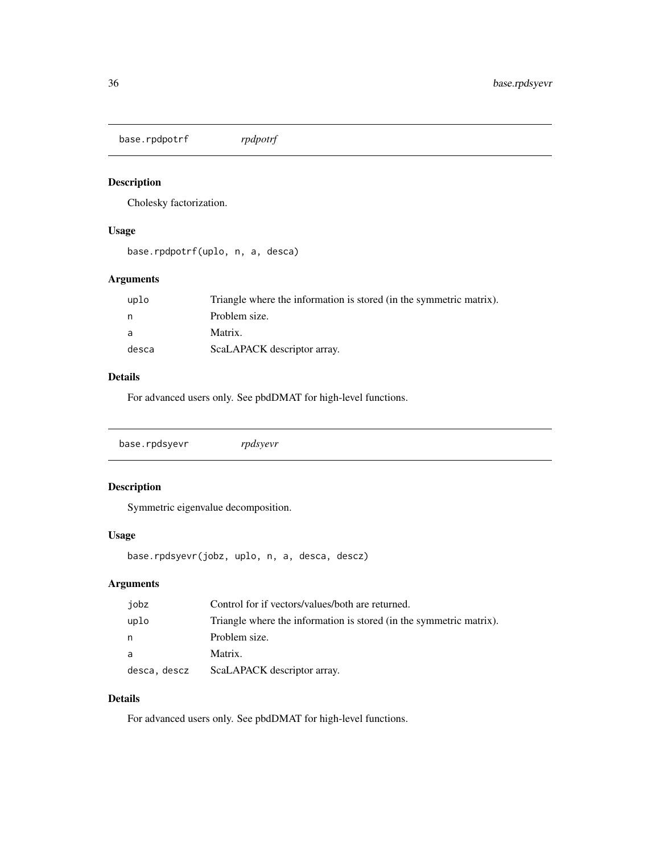<span id="page-35-0"></span>base.rpdpotrf *rpdpotrf*

## Description

Cholesky factorization.

## Usage

```
base.rpdpotrf(uplo, n, a, desca)
```
## Arguments

| uplo  | Triangle where the information is stored (in the symmetric matrix). |
|-------|---------------------------------------------------------------------|
|       | Problem size.                                                       |
| - a   | Matrix.                                                             |
| desca | ScaLAPACK descriptor array.                                         |

## Details

For advanced users only. See pbdDMAT for high-level functions.

|  | base.rpdsyevr | rpdsyevr |  |  |  |
|--|---------------|----------|--|--|--|
|--|---------------|----------|--|--|--|

## Description

Symmetric eigenvalue decomposition.

#### Usage

base.rpdsyevr(jobz, uplo, n, a, desca, descz)

## Arguments

| jobz         | Control for if vectors/values/both are returned.                    |
|--------------|---------------------------------------------------------------------|
| uplo         | Triangle where the information is stored (in the symmetric matrix). |
| n            | Problem size.                                                       |
| a            | Matrix.                                                             |
| desca, descz | ScaLAPACK descriptor array.                                         |

#### Details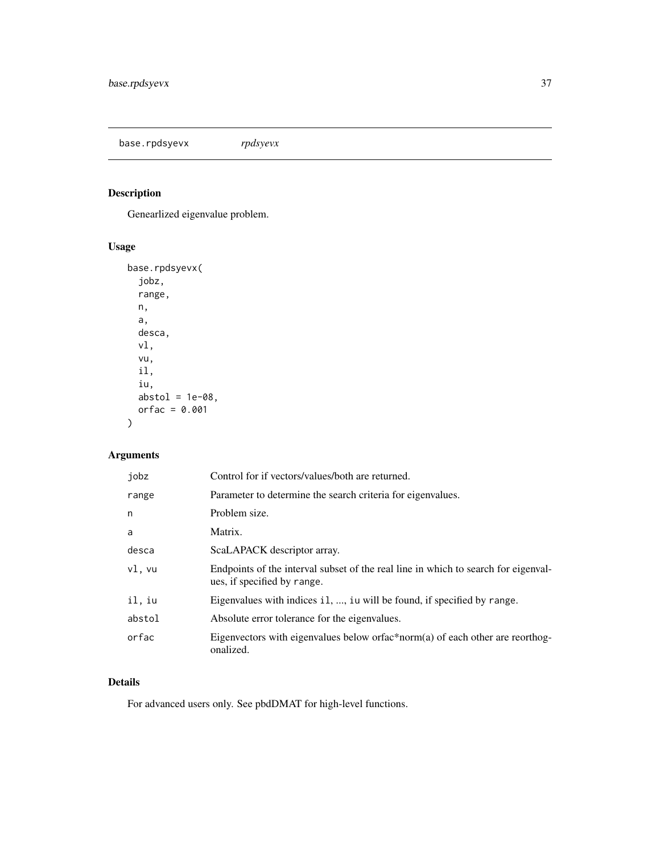<span id="page-36-0"></span>base.rpdsyevx *rpdsyevx*

## Description

Genearlized eigenvalue problem.

## Usage

```
base.rpdsyevx(
  jobz,
  range,
  n,
  a,
  desca,
  vl,
  vu,
  il,
  iu,
  abstol = 1e-08,
  orfac = 0.001
\mathcal{L}
```
## Arguments

| jobz   | Control for if vectors/values/both are returned.                                                                  |
|--------|-------------------------------------------------------------------------------------------------------------------|
| range  | Parameter to determine the search criteria for eigenvalues.                                                       |
| n      | Problem size.                                                                                                     |
| a      | Matrix.                                                                                                           |
| desca  | ScaLAPACK descriptor array.                                                                                       |
| vl, vu | Endpoints of the interval subset of the real line in which to search for eigenval-<br>ues, if specified by range. |
| il, iu | Eigenvalues with indices i1, , iu will be found, if specified by range.                                           |
| abstol | Absolute error tolerance for the eigenvalues.                                                                     |
| orfac  | Eigenvectors with eigenvalues below or fac*norm(a) of each other are reorthog-<br>onalized.                       |

## Details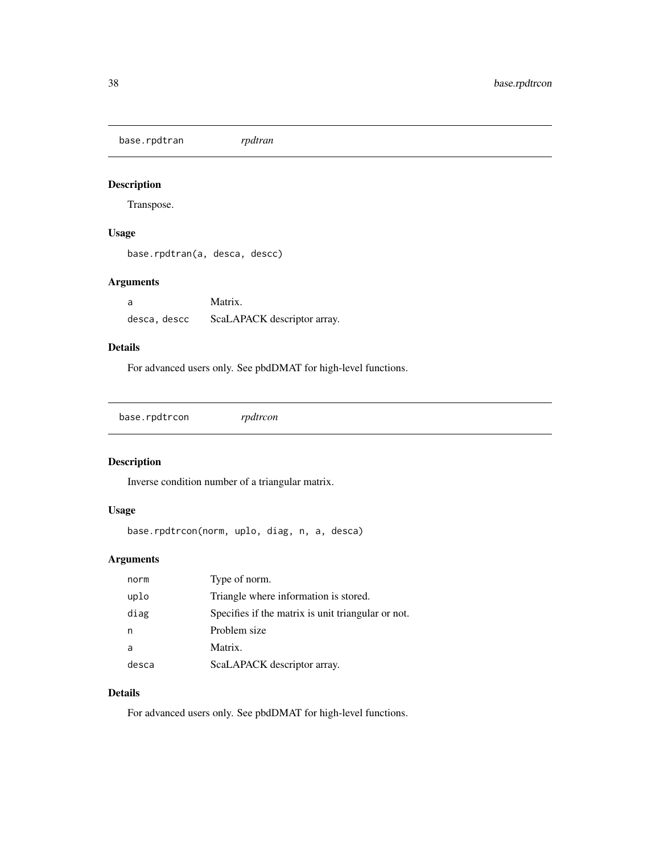<span id="page-37-0"></span>base.rpdtran *rpdtran*

## Description

Transpose.

## Usage

```
base.rpdtran(a, desca, descc)
```
## Arguments

a Matrix. desca, descc ScaLAPACK descriptor array.

#### Details

For advanced users only. See pbdDMAT for high-level functions.

base.rpdtrcon *rpdtrcon*

## Description

Inverse condition number of a triangular matrix.

## Usage

```
base.rpdtrcon(norm, uplo, diag, n, a, desca)
```
## Arguments

| norm  | Type of norm.                                      |
|-------|----------------------------------------------------|
| uplo  | Triangle where information is stored.              |
| diag  | Specifies if the matrix is unit triangular or not. |
| n     | Problem size                                       |
| a     | Matrix.                                            |
| desca | ScaLAPACK descriptor array.                        |

#### Details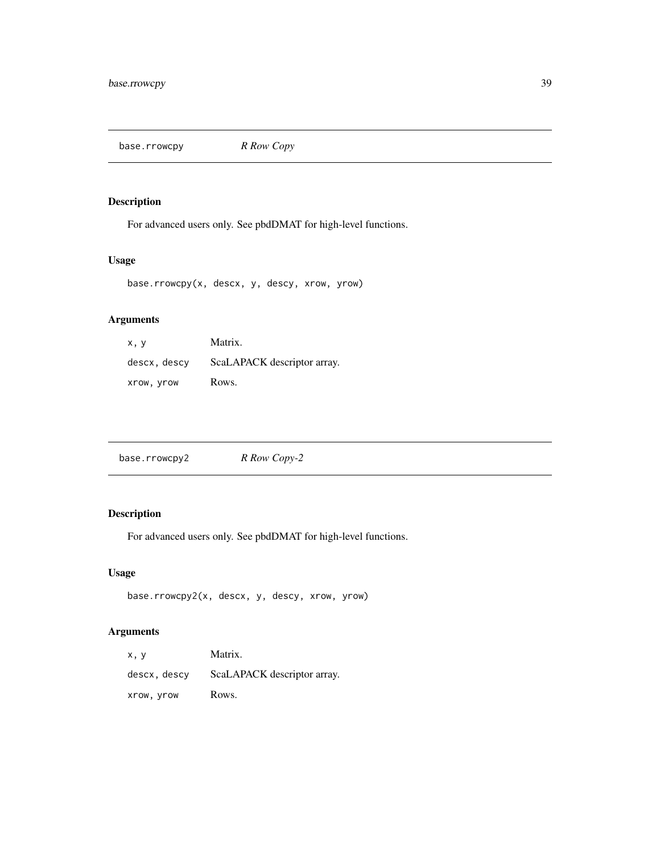<span id="page-38-0"></span>base.rrowcpy *R Row Copy*

## Description

For advanced users only. See pbdDMAT for high-level functions.

## Usage

base.rrowcpy(x, descx, y, descy, xrow, yrow)

## Arguments

| x.v          | Matrix.                     |
|--------------|-----------------------------|
| descx, descy | ScaLAPACK descriptor array. |
| xrow, yrow   | Rows.                       |

| base.rrowcpy2 | R Row Copy-2 |
|---------------|--------------|
|---------------|--------------|

## Description

For advanced users only. See pbdDMAT for high-level functions.

## Usage

```
base.rrowcpy2(x, descx, y, descy, xrow, yrow)
```
## Arguments

| x. y         | Matrix.                     |
|--------------|-----------------------------|
| descx, descy | ScaLAPACK descriptor array. |
| Xrow, yrow   | Rows.                       |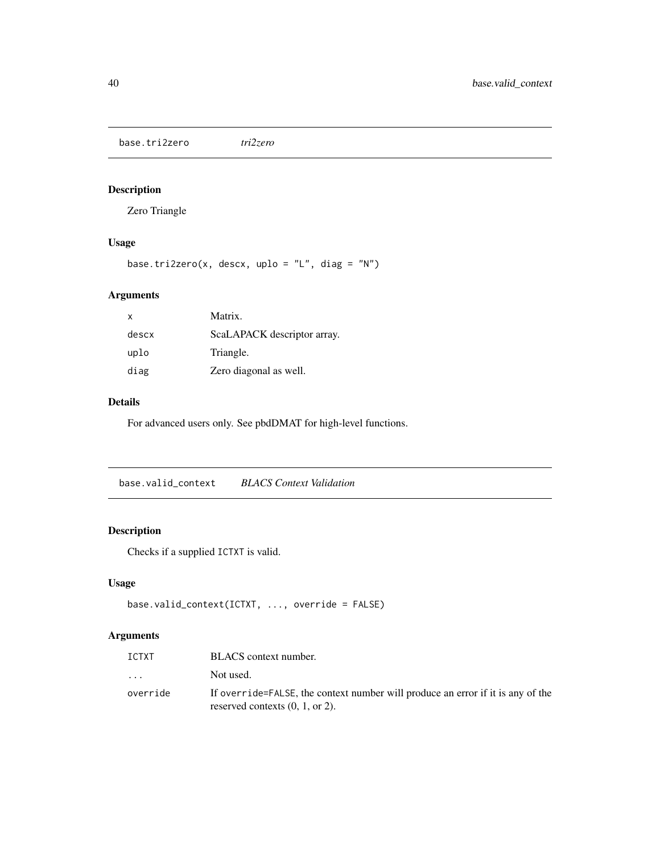<span id="page-39-0"></span>base.tri2zero *tri2zero*

## Description

Zero Triangle

## Usage

```
base.tri2zero(x, descx, uplo = "L", diag = "N")
```
## Arguments

| $\mathsf{x}$ | Matrix.                     |
|--------------|-----------------------------|
| descx        | ScaLAPACK descriptor array. |
| uplo         | Triangle.                   |
| diag         | Zero diagonal as well.      |

#### Details

For advanced users only. See pbdDMAT for high-level functions.

base.valid\_context *BLACS Context Validation*

## Description

Checks if a supplied ICTXT is valid.

## Usage

```
base.valid_context(ICTXT, ..., override = FALSE)
```
## Arguments

| BLACS context number.                                                                                                 |
|-----------------------------------------------------------------------------------------------------------------------|
| Not used.                                                                                                             |
| If over ride=FALSE, the context number will produce an error if it is any of the<br>reserved contexts $(0, 1,$ or 2). |
|                                                                                                                       |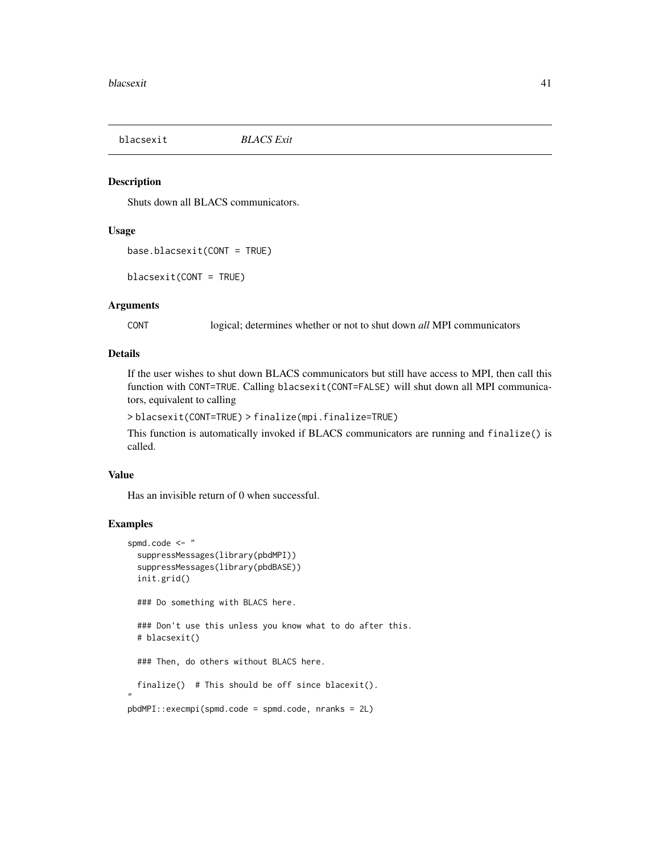<span id="page-40-0"></span>blacsexit *BLACS Exit*

#### Description

Shuts down all BLACS communicators.

#### Usage

```
base.blacsexit(CONT = TRUE)
```
blacsexit(CONT = TRUE)

#### Arguments

CONT logical; determines whether or not to shut down *all* MPI communicators

#### Details

If the user wishes to shut down BLACS communicators but still have access to MPI, then call this function with CONT=TRUE. Calling blacsexit(CONT=FALSE) will shut down all MPI communicators, equivalent to calling

> blacsexit(CONT=TRUE) > finalize(mpi.finalize=TRUE)

This function is automatically invoked if BLACS communicators are running and finalize() is called.

#### Value

Has an invisible return of 0 when successful.

#### Examples

```
spmd.code <- "
 suppressMessages(library(pbdMPI))
 suppressMessages(library(pbdBASE))
 init.grid()
 ### Do something with BLACS here.
 ### Don't use this unless you know what to do after this.
 # blacsexit()
 ### Then, do others without BLACS here.
 finalize() # This should be off since blacexit().
"
pbdMPI::execmpi(spmd.code = spmd.code, nranks = 2L)
```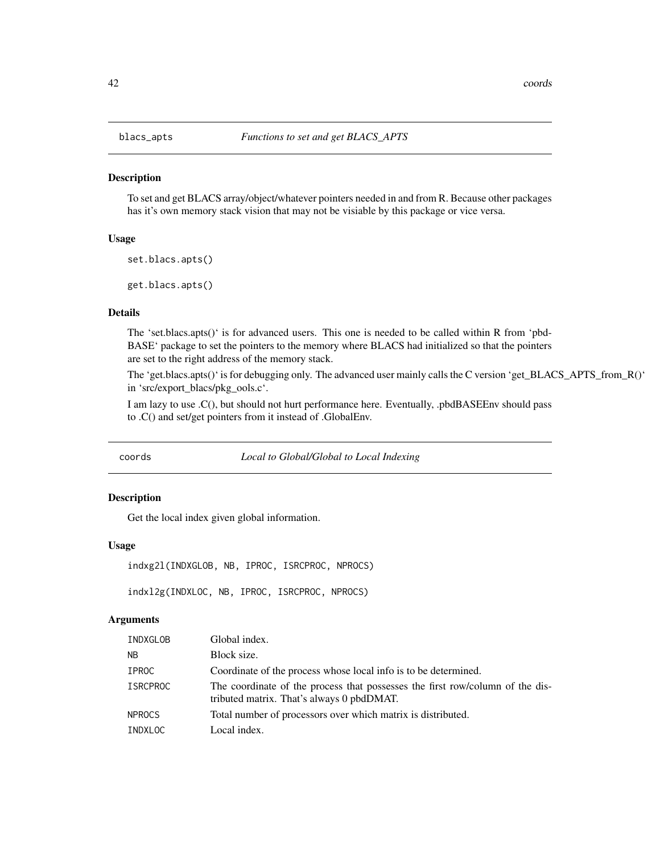<span id="page-41-0"></span>

#### Description

To set and get BLACS array/object/whatever pointers needed in and from R. Because other packages has it's own memory stack vision that may not be visiable by this package or vice versa.

#### Usage

```
set.blacs.apts()
```
get.blacs.apts()

#### Details

The 'set.blacs.apts()' is for advanced users. This one is needed to be called within R from 'pbd-BASE' package to set the pointers to the memory where BLACS had initialized so that the pointers are set to the right address of the memory stack.

The 'get.blacs.apts()' is for debugging only. The advanced user mainly calls the C version 'get\_BLACS\_APTS\_from\_R()' in 'src/export\_blacs/pkg\_ools.c'.

I am lazy to use .C(), but should not hurt performance here. Eventually, .pbdBASEEnv should pass to .C() and set/get pointers from it instead of .GlobalEnv.

coords *Local to Global/Global to Local Indexing*

#### Description

Get the local index given global information.

#### Usage

```
indxg2l(INDXGLOB, NB, IPROC, ISRCPROC, NPROCS)
```
indxl2g(INDXLOC, NB, IPROC, ISRCPROC, NPROCS)

#### Arguments

| INDXGLOB        | Global index.                                                                                                              |
|-----------------|----------------------------------------------------------------------------------------------------------------------------|
| <b>NB</b>       | Block size.                                                                                                                |
| IPROC           | Coordinate of the process whose local info is to be determined.                                                            |
| <b>ISRCPROC</b> | The coordinate of the process that possesses the first row/column of the dis-<br>tributed matrix. That's always 0 pbdDMAT. |
| <b>NPROCS</b>   | Total number of processors over which matrix is distributed.                                                               |
| INDXLOC         | Local index.                                                                                                               |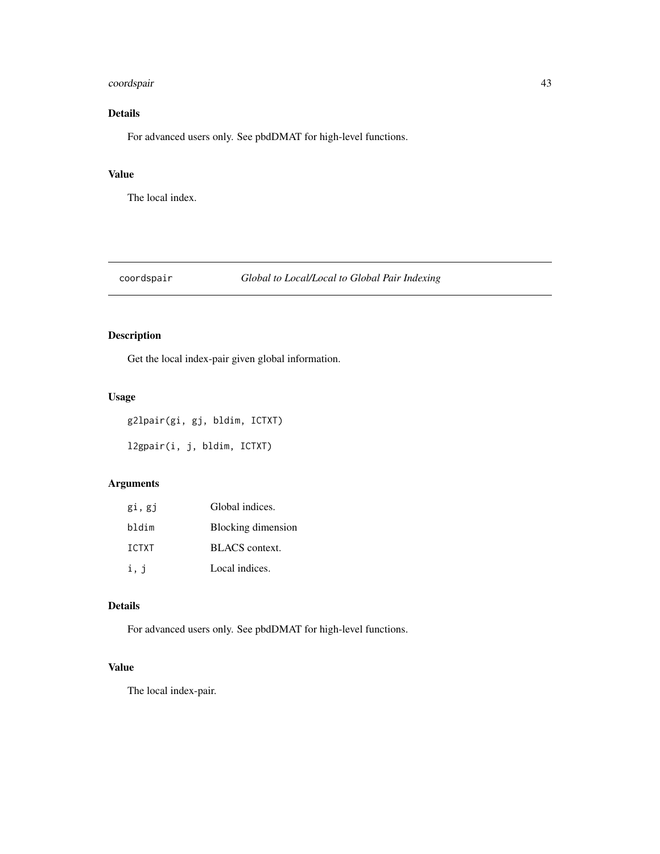## <span id="page-42-0"></span>coordspair 43

## Details

For advanced users only. See pbdDMAT for high-level functions.

#### Value

The local index.

## coordspair *Global to Local/Local to Global Pair Indexing*

## Description

Get the local index-pair given global information.

## Usage

g2lpair(gi, gj, bldim, ICTXT)

l2gpair(i, j, bldim, ICTXT)

## Arguments

| gi, gj | Global indices.       |
|--------|-----------------------|
| bldim  | Blocking dimension    |
| ICTXT  | <b>BLACS</b> context. |
| i, j   | Local indices.        |

#### Details

For advanced users only. See pbdDMAT for high-level functions.

## Value

The local index-pair.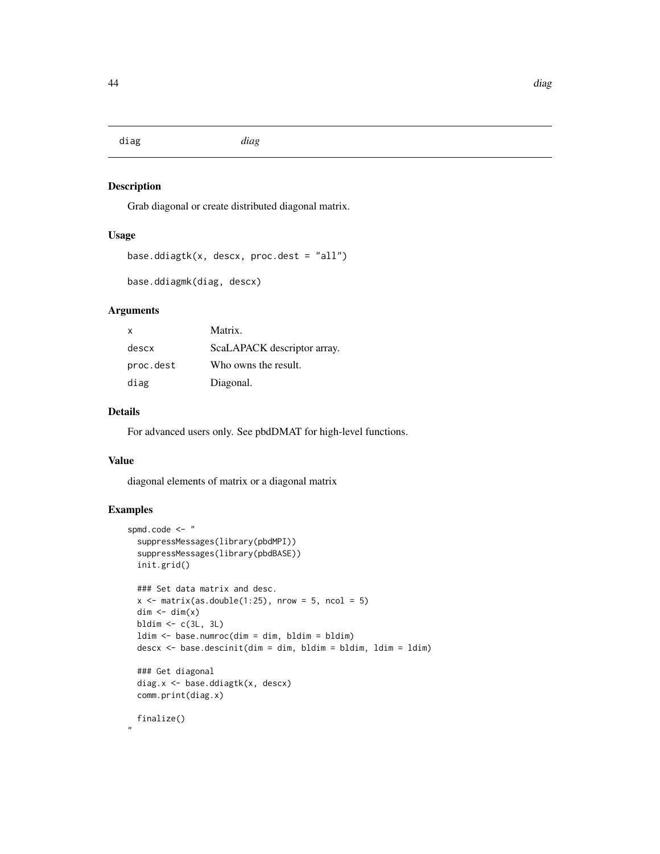<span id="page-43-0"></span>diag *diag*

## Description

Grab diagonal or create distributed diagonal matrix.

#### Usage

```
base.ddiagtk(x, descx, proc.dest = "all")
```

```
base.ddiagmk(diag, descx)
```
#### Arguments

| x         | Matrix.                     |
|-----------|-----------------------------|
| descx     | ScaLAPACK descriptor array. |
| proc.dest | Who owns the result.        |
| diag      | Diagonal.                   |

#### Details

For advanced users only. See pbdDMAT for high-level functions.

#### Value

diagonal elements of matrix or a diagonal matrix

## Examples

```
spmd.code <- "
 suppressMessages(library(pbdMPI))
 suppressMessages(library(pbdBASE))
 init.grid()
 ### Set data matrix and desc.
 x \le matrix(as.double(1:25), nrow = 5, ncol = 5)
 dim < - dim(x)bldim \leftarrow c(3L, 3L)ldim <- base.numroc(dim = dim, bldim = bldim)
 descx <- base.descinit(dim = dim, bldim = bldim, ldim = ldim)
 ### Get diagonal
 diag.x <- base.ddiagtk(x, descx)
 comm.print(diag.x)
 finalize()
```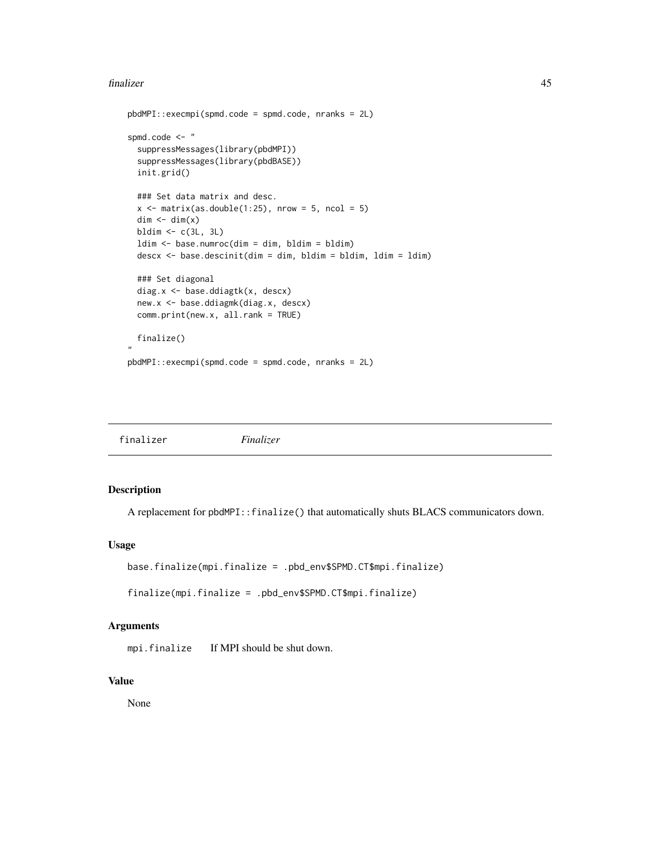#### <span id="page-44-0"></span>finalizer 45

```
pbdMPI::execmpi(spmd.code = spmd.code, nranks = 2L)
spmd.code <- "
 suppressMessages(library(pbdMPI))
 suppressMessages(library(pbdBASE))
 init.grid()
 ### Set data matrix and desc.
 x \le matrix(as.double(1:25), nrow = 5, ncol = 5)
 dim < -dim(x)bldim <- c(3L, 3L)
 ldim <- base.numroc(dim = dim, bldim = bldim)
 descx <- base.descinit(dim = dim, bldim = bldim, ldim = ldim)
 ### Set diagonal
 diag.x <- base.ddiagtk(x, descx)
 new.x <- base.ddiagmk(diag.x, descx)
 comm.print(new.x, all.rank = TRUE)
 finalize()
"
pbdMPI::execmpi(spmd.code = spmd.code, nranks = 2L)
```

| finalizer |           |
|-----------|-----------|
|           | Finalizer |

#### Description

A replacement for pbdMPI::finalize() that automatically shuts BLACS communicators down.

#### Usage

```
base.finalize(mpi.finalize = .pbd_env$SPMD.CT$mpi.finalize)
```
finalize(mpi.finalize = .pbd\_env\$SPMD.CT\$mpi.finalize)

#### Arguments

mpi.finalize If MPI should be shut down.

#### Value

None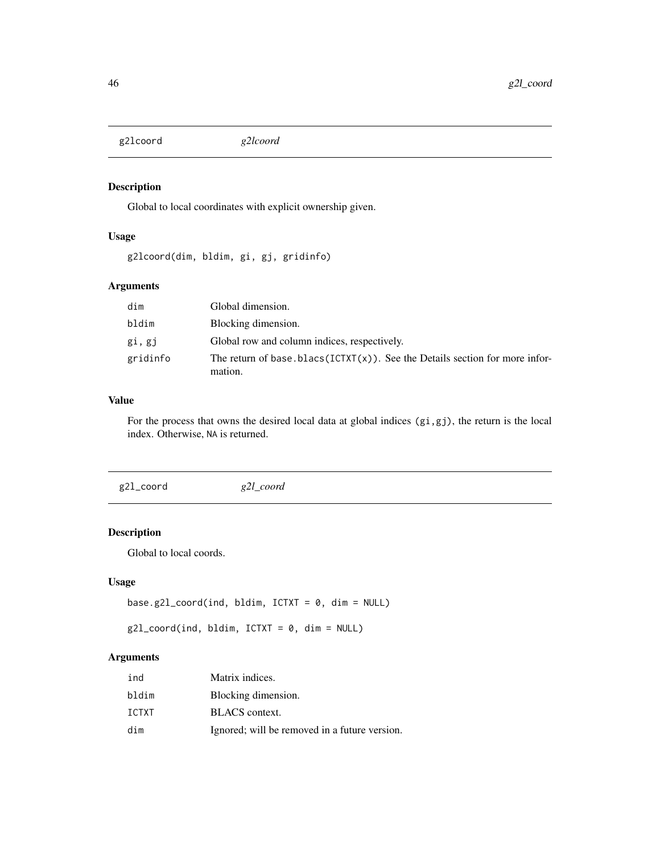<span id="page-45-0"></span>g2lcoord *g2lcoord*

## Description

Global to local coordinates with explicit ownership given.

## Usage

g2lcoord(dim, bldim, gi, gj, gridinfo)

## Arguments

| dim      | Global dimension.                                                                          |
|----------|--------------------------------------------------------------------------------------------|
| bldim    | Blocking dimension.                                                                        |
| gi, gj   | Global row and column indices, respectively.                                               |
| gridinfo | The return of base.blacs( $ICTXT(x)$ ). See the Details section for more infor-<br>mation. |

#### Value

For the process that owns the desired local data at global indices (gi,gj), the return is the local index. Otherwise, NA is returned.

g2l\_coord *g2l\_coord*

## Description

Global to local coords.

## Usage

```
base.g2l_coord(ind, bldim, ICTXT = 0, dim = NULL)
```

```
g2l\_coord(ind, bldim, ICTXT = 0, dim = NULL)
```
## Arguments

| ind          | Matrix indices.                               |
|--------------|-----------------------------------------------|
| bldim        | Blocking dimension.                           |
| <b>ICTXT</b> | <b>BLACS</b> context.                         |
| dim          | Ignored; will be removed in a future version. |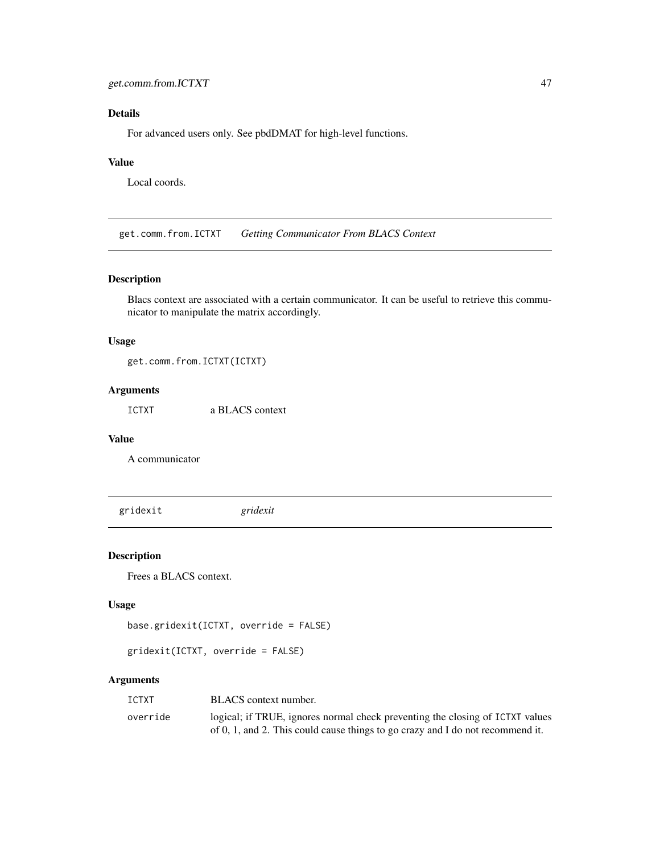## <span id="page-46-0"></span>Details

For advanced users only. See pbdDMAT for high-level functions.

#### Value

Local coords.

get.comm.from.ICTXT *Getting Communicator From BLACS Context*

#### Description

Blacs context are associated with a certain communicator. It can be useful to retrieve this communicator to manipulate the matrix accordingly.

#### Usage

get.comm.from.ICTXT(ICTXT)

## Arguments

ICTXT a BLACS context

## Value

A communicator

gridexit *gridexit*

#### Description

Frees a BLACS context.

#### Usage

```
base.gridexit(ICTXT, override = FALSE)
```

```
gridexit(ICTXT, override = FALSE)
```
#### Arguments

| ICTXT    | BLACS context number.                                                                                                                                           |
|----------|-----------------------------------------------------------------------------------------------------------------------------------------------------------------|
| override | logical; if TRUE, ignores normal check preventing the closing of ICTXT values<br>of 0, 1, and 2. This could cause things to go crazy and I do not recommend it. |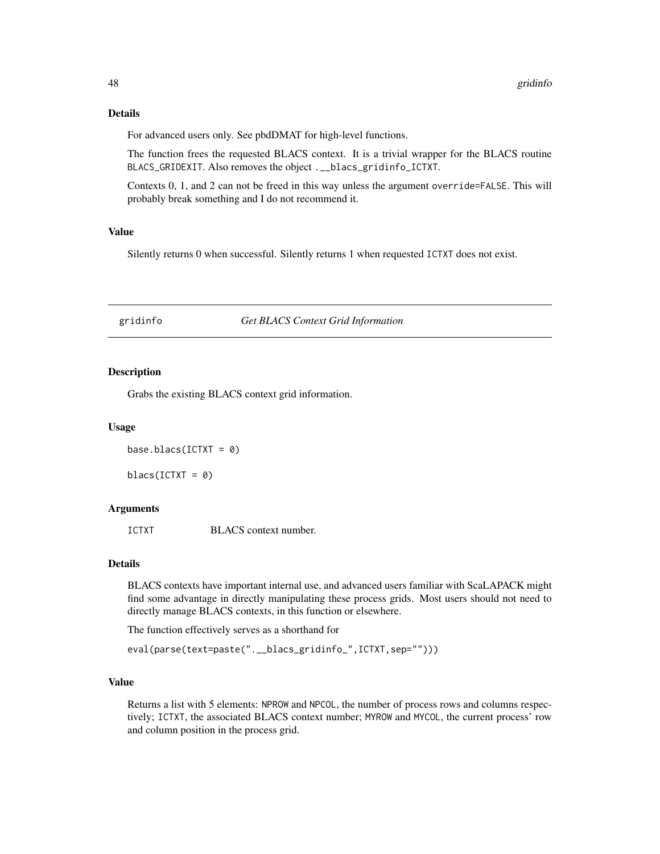#### Details

For advanced users only. See pbdDMAT for high-level functions.

The function frees the requested BLACS context. It is a trivial wrapper for the BLACS routine BLACS\_GRIDEXIT. Also removes the object .\_\_blacs\_gridinfo\_ICTXT.

Contexts 0, 1, and 2 can not be freed in this way unless the argument override=FALSE. This will probably break something and I do not recommend it.

#### Value

Silently returns 0 when successful. Silently returns 1 when requested ICTXT does not exist.

## gridinfo *Get BLACS Context Grid Information*

#### Description

Grabs the existing BLACS context grid information.

#### Usage

base.blacs(ICTXT =  $0$ )

 $blacs(ICTXT = 0)$ 

#### Arguments

ICTXT BLACS context number.

#### Details

BLACS contexts have important internal use, and advanced users familiar with ScaLAPACK might find some advantage in directly manipulating these process grids. Most users should not need to directly manage BLACS contexts, in this function or elsewhere.

The function effectively serves as a shorthand for

```
eval(parse(text=paste(".__blacs_gridinfo_",ICTXT,sep="")))
```
#### Value

Returns a list with 5 elements: NPROW and NPCOL, the number of process rows and columns respectively; ICTXT, the associated BLACS context number; MYROW and MYCOL, the current process' row and column position in the process grid.

<span id="page-47-0"></span>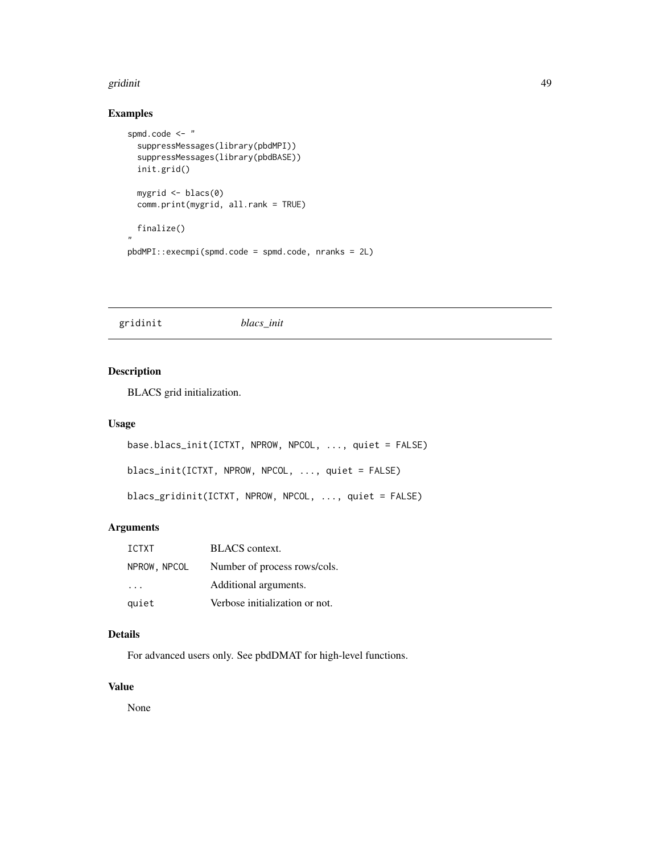#### <span id="page-48-0"></span>gridinit the contract of the contract of the contract of the contract of the contract of the contract of the contract of the contract of the contract of the contract of the contract of the contract of the contract of the c

## Examples

```
spmd.code <- "
  suppressMessages(library(pbdMPI))
  suppressMessages(library(pbdBASE))
  init.grid()
  mygrid <- blacs(0)
  comm.print(mygrid, all.rank = TRUE)
  finalize()
,,
pbdMPI::execmpi(spmd.code = spmd.code, nranks = 2L)
```
gridinit *blacs\_init*

## Description

BLACS grid initialization.

#### Usage

```
base.blacs_init(ICTXT, NPROW, NPCOL, ..., quiet = FALSE)
blacs_init(ICTXT, NPROW, NPCOL, ..., quiet = FALSE)
blacs_gridinit(ICTXT, NPROW, NPCOL, ..., quiet = FALSE)
```
## Arguments

| <b>ICTXT</b>            | <b>BLACS</b> context.          |
|-------------------------|--------------------------------|
| NPROW, NPCOL            | Number of process rows/cols.   |
| $\cdot$ $\cdot$ $\cdot$ | Additional arguments.          |
| quiet                   | Verbose initialization or not. |

## Details

For advanced users only. See pbdDMAT for high-level functions.

## Value

None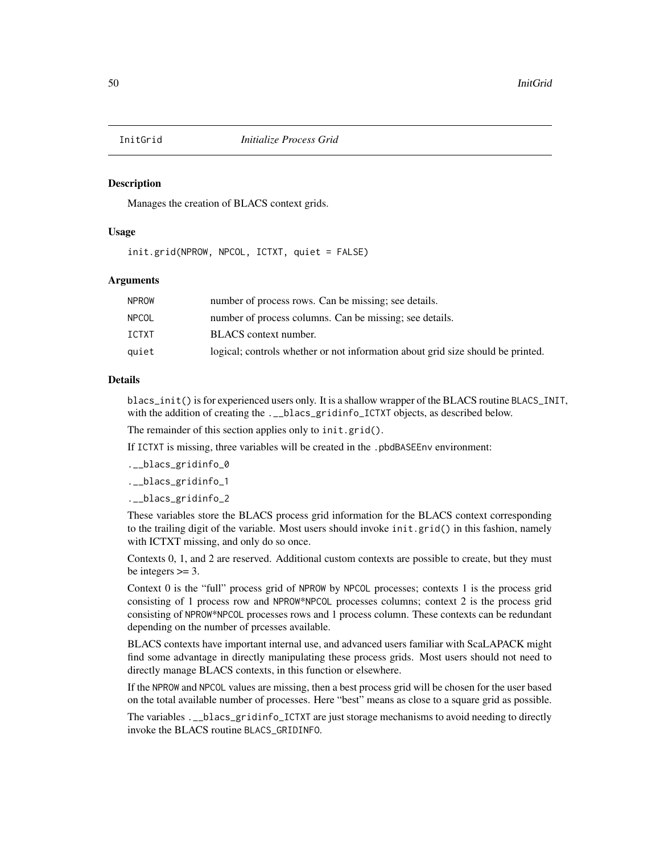<span id="page-49-0"></span>

#### Description

Manages the creation of BLACS context grids.

#### Usage

init.grid(NPROW, NPCOL, ICTXT, quiet = FALSE)

#### Arguments

| NPROW | number of process rows. Can be missing; see details.                            |
|-------|---------------------------------------------------------------------------------|
| NPCOL | number of process columns. Can be missing; see details.                         |
| ICTXT | BLACS context number.                                                           |
| quiet | logical; controls whether or not information about grid size should be printed. |
|       |                                                                                 |

## Details

blacs\_init() is for experienced users only. It is a shallow wrapper of the BLACS routine BLACS\_INIT, with the addition of creating the .\_\_blacs\_gridinfo\_ICTXT objects, as described below.

The remainder of this section applies only to init.grid().

If ICTXT is missing, three variables will be created in the .pbdBASEEnv environment:

.\_\_blacs\_gridinfo\_0

.\_\_blacs\_gridinfo\_1

.\_\_blacs\_gridinfo\_2

These variables store the BLACS process grid information for the BLACS context corresponding to the trailing digit of the variable. Most users should invoke init.grid() in this fashion, namely with ICTXT missing, and only do so once.

Contexts 0, 1, and 2 are reserved. Additional custom contexts are possible to create, but they must be integers  $>= 3$ .

Context 0 is the "full" process grid of NPROW by NPCOL processes; contexts 1 is the process grid consisting of 1 process row and NPROW\*NPCOL processes columns; context 2 is the process grid consisting of NPROW\*NPCOL processes rows and 1 process column. These contexts can be redundant depending on the number of prcesses available.

BLACS contexts have important internal use, and advanced users familiar with ScaLAPACK might find some advantage in directly manipulating these process grids. Most users should not need to directly manage BLACS contexts, in this function or elsewhere.

If the NPROW and NPCOL values are missing, then a best process grid will be chosen for the user based on the total available number of processes. Here "best" means as close to a square grid as possible.

The variables .\_\_blacs\_gridinfo\_ICTXT are just storage mechanisms to avoid needing to directly invoke the BLACS routine BLACS\_GRIDINFO.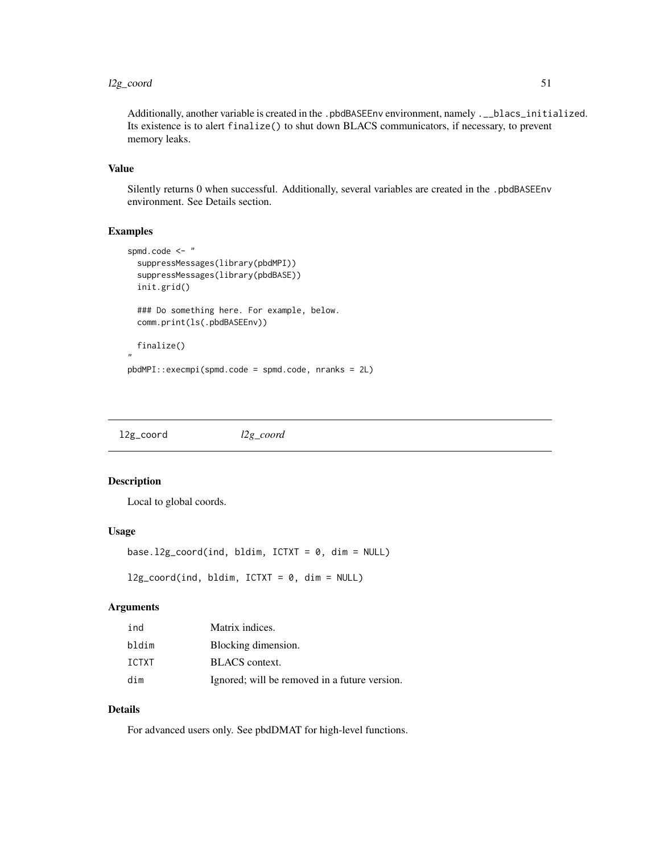#### <span id="page-50-0"></span>l2g\_coord 51

Additionally, another variable is created in the .pbdBASEEnv environment, namely .\_\_blacs\_initialized. Its existence is to alert finalize() to shut down BLACS communicators, if necessary, to prevent memory leaks.

#### Value

Silently returns 0 when successful. Additionally, several variables are created in the .pbdBASEEnv environment. See Details section.

#### Examples

```
spmd.code <- "
 suppressMessages(library(pbdMPI))
 suppressMessages(library(pbdBASE))
 init.grid()
 ### Do something here. For example, below.
 comm.print(ls(.pbdBASEEnv))
 finalize()
"
pbdMPI::execmpi(spmd.code = spmd.code, nranks = 2L)
```
l2g\_coord *l2g\_coord*

#### Description

Local to global coords.

#### Usage

```
base.12g_coord(ind, bldim, ICTXT = 0, dim = NULL)
```
 $12g\_{coord}(ind, bldim, ICTXT = 0, dim = NULL)$ 

#### Arguments

| ind          | Matrix indices.                               |
|--------------|-----------------------------------------------|
| bldim        | Blocking dimension.                           |
| <b>TCTXT</b> | <b>BLACS</b> context.                         |
| dim          | Ignored; will be removed in a future version. |

## Details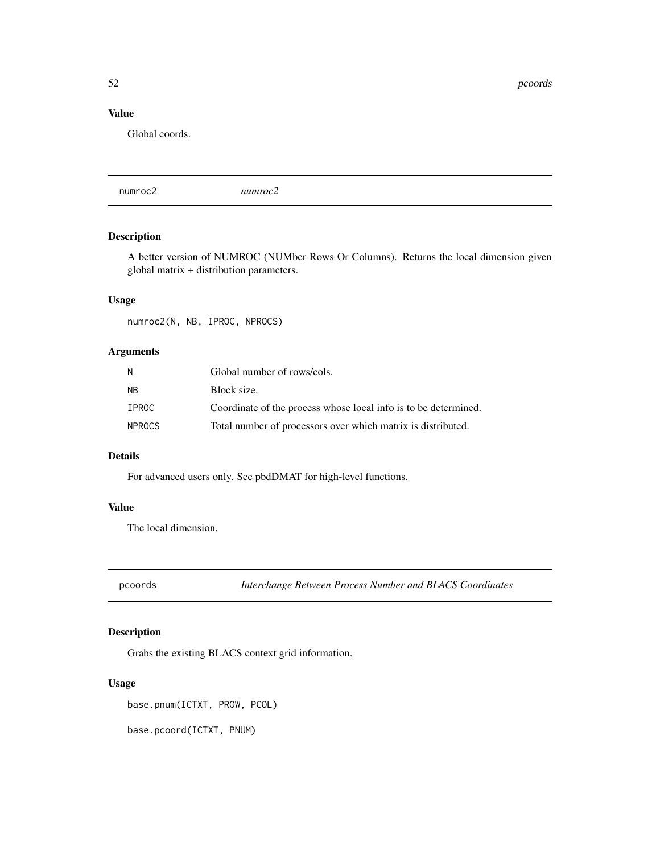<span id="page-51-0"></span>52 proords and the contract of the contract of the contract of the contract of the contract of the contract of the contract of the contract of the contract of the contract of the contract of the contract of the contract of

## Value

Global coords.

numroc2 *numroc2*

## Description

A better version of NUMROC (NUMber Rows Or Columns). Returns the local dimension given global matrix + distribution parameters.

## Usage

numroc2(N, NB, IPROC, NPROCS)

## Arguments

| N.     | Global number of rows/cols.                                     |
|--------|-----------------------------------------------------------------|
| NΒ     | Block size.                                                     |
| IPROC  | Coordinate of the process whose local info is to be determined. |
| NPROCS | Total number of processors over which matrix is distributed.    |

#### Details

For advanced users only. See pbdDMAT for high-level functions.

#### Value

The local dimension.

pcoords *Interchange Between Process Number and BLACS Coordinates*

## Description

Grabs the existing BLACS context grid information.

#### Usage

base.pnum(ICTXT, PROW, PCOL)

base.pcoord(ICTXT, PNUM)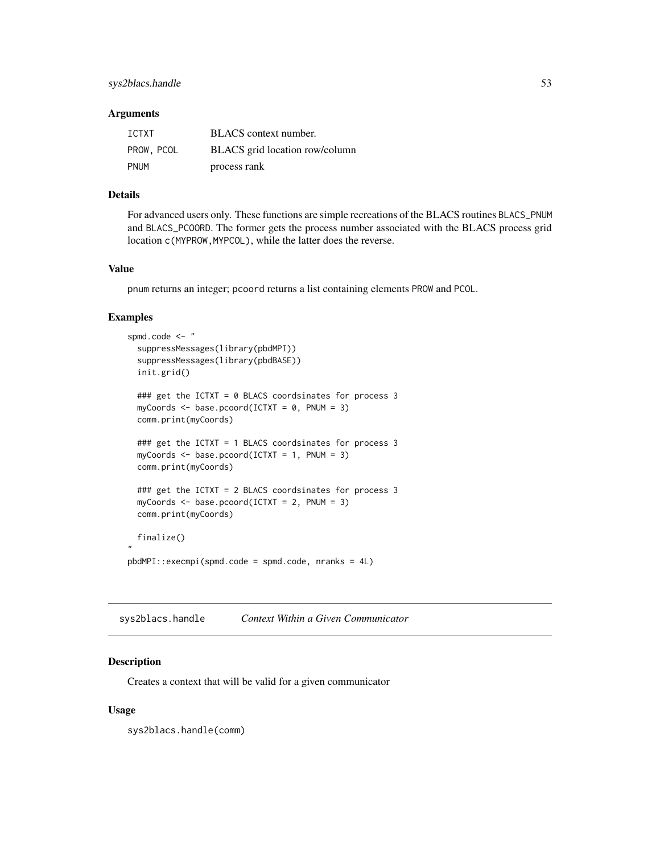#### <span id="page-52-0"></span>**Arguments**

| ICTXT       | BLACS context number.          |
|-------------|--------------------------------|
| PROW, PCOL  | BLACS grid location row/column |
| <b>PNUM</b> | process rank                   |

#### Details

For advanced users only. These functions are simple recreations of the BLACS routines BLACS\_PNUM and BLACS\_PCOORD. The former gets the process number associated with the BLACS process grid location c(MYPROW,MYPCOL), while the latter does the reverse.

#### Value

pnum returns an integer; pcoord returns a list containing elements PROW and PCOL.

#### Examples

```
spmd.code <- "
 suppressMessages(library(pbdMPI))
 suppressMessages(library(pbdBASE))
 init.grid()
 ### get the ICTXT = 0 BLACS coordsinates for process 3
 myCoords \leq base.pcoord(ICTXT = 0, PNUM = 3)
 comm.print(myCoords)
 ### get the ICTXT = 1 BLACS coordsinates for process 3
 myCoords \leq basic.pcoord(ICTXT = 1, PNUM = 3)comm.print(myCoords)
 ### get the ICTXT = 2 BLACS coordsinates for process 3
 myCoords <- base.pcoord(ICTXT = 2, PNUM = 3)
 comm.print(myCoords)
 finalize()
"
pbdMPI::execmpi(spmd.code = spmd.code, nranks = 4L)
```
sys2blacs.handle *Context Within a Given Communicator*

## Description

Creates a context that will be valid for a given communicator

#### Usage

sys2blacs.handle(comm)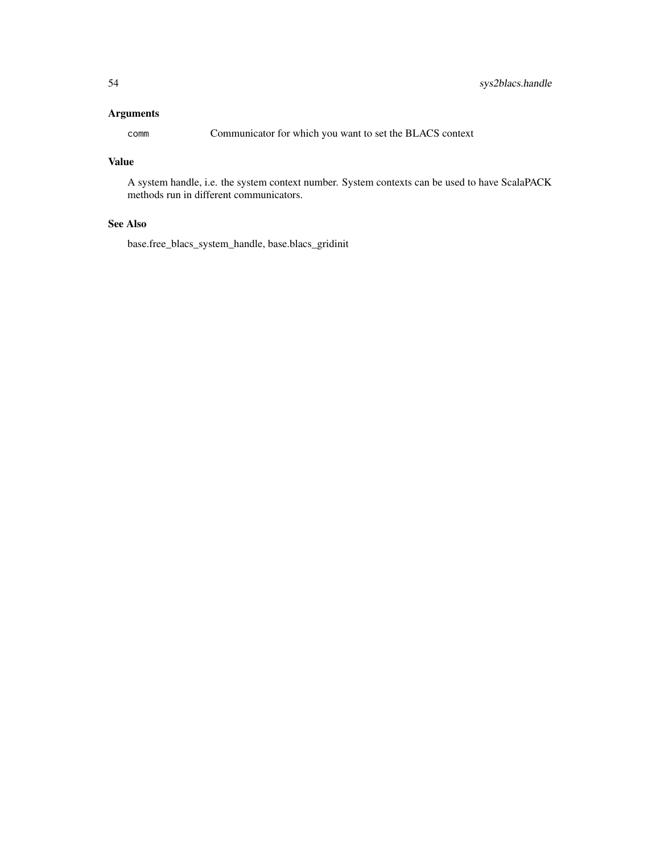#### Arguments

comm Communicator for which you want to set the BLACS context

#### Value

A system handle, i.e. the system context number. System contexts can be used to have ScalaPACK methods run in different communicators.

## See Also

base.free\_blacs\_system\_handle, base.blacs\_gridinit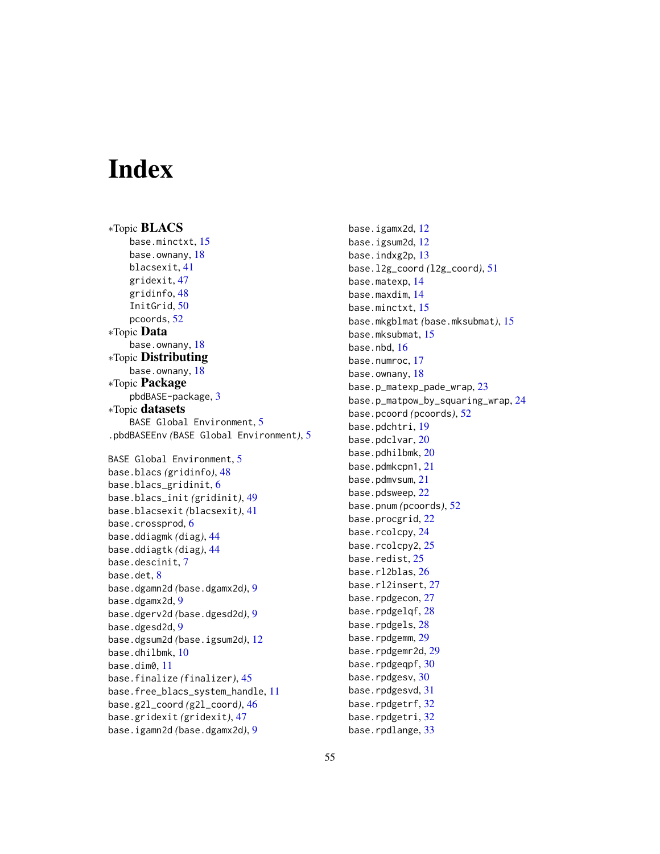# <span id="page-54-0"></span>**Index**

∗Topic BLACS base.minctxt, [15](#page-14-0) base.ownany, [18](#page-17-0) blacsexit, [41](#page-40-0) gridexit, [47](#page-46-0) gridinfo, [48](#page-47-0) InitGrid, [50](#page-49-0) pcoords, [52](#page-51-0) ∗Topic Data base.ownany, [18](#page-17-0) ∗Topic Distributing base.ownany, [18](#page-17-0) ∗Topic Package pbdBASE-package, [3](#page-2-0) ∗Topic datasets BASE Global Environment, [5](#page-4-0) .pbdBASEEnv *(*BASE Global Environment*)*, [5](#page-4-0) BASE Global Environment, [5](#page-4-0) base.blacs *(*gridinfo*)*, [48](#page-47-0) base.blacs\_gridinit, [6](#page-5-0) base.blacs\_init *(*gridinit*)*, [49](#page-48-0) base.blacsexit *(*blacsexit*)*, [41](#page-40-0) base.crossprod, [6](#page-5-0) base.ddiagmk *(*diag*)*, [44](#page-43-0) base.ddiagtk *(*diag*)*, [44](#page-43-0) base.descinit, [7](#page-6-0) base.det, [8](#page-7-0) base.dgamn2d *(*base.dgamx2d*)*, [9](#page-8-0) base.dgamx2d, [9](#page-8-0) base.dgerv2d *(*base.dgesd2d*)*, [9](#page-8-0) base.dgesd2d, [9](#page-8-0) base.dgsum2d *(*base.igsum2d*)*, [12](#page-11-0) base.dhilbmk, [10](#page-9-0) base.dim0, [11](#page-10-0) base.finalize *(*finalizer*)*, [45](#page-44-0) base.free\_blacs\_system\_handle, [11](#page-10-0) base.g2l\_coord *(*g2l\_coord*)*, [46](#page-45-0) base.gridexit *(*gridexit*)*, [47](#page-46-0) base.igamn2d *(*base.dgamx2d*)*, [9](#page-8-0)

base.igamx2d, [12](#page-11-0) base.igsum2d, [12](#page-11-0) base.indxg2p, [13](#page-12-0) base.l2g\_coord *(*l2g\_coord*)*, [51](#page-50-0) base.matexp, [14](#page-13-0) base.maxdim, [14](#page-13-0) base.minctxt, [15](#page-14-0) base.mkgblmat *(*base.mksubmat*)*, [15](#page-14-0) base.mksubmat, [15](#page-14-0) base.nbd, [16](#page-15-0) base.numroc, [17](#page-16-0) base.ownany, [18](#page-17-0) base.p\_matexp\_pade\_wrap, [23](#page-22-0) base.p\_matpow\_by\_squaring\_wrap, [24](#page-23-0) base.pcoord *(*pcoords*)*, [52](#page-51-0) base.pdchtri, [19](#page-18-0) base.pdclvar, [20](#page-19-0) base.pdhilbmk, [20](#page-19-0) base.pdmkcpn1, [21](#page-20-0) base.pdmvsum, [21](#page-20-0) base.pdsweep, [22](#page-21-0) base.pnum *(*pcoords*)*, [52](#page-51-0) base.procgrid, [22](#page-21-0) base.rcolcpy, [24](#page-23-0) base.rcolcpy2, [25](#page-24-0) base.redist, [25](#page-24-0) base.rl2blas, [26](#page-25-0) base.rl2insert, [27](#page-26-0) base.rpdgecon, [27](#page-26-0) base.rpdgelqf, [28](#page-27-0) base.rpdgels, [28](#page-27-0) base.rpdgemm, [29](#page-28-0) base.rpdgemr2d, [29](#page-28-0) base.rpdgeqpf, [30](#page-29-0) base.rpdgesv, [30](#page-29-0) base.rpdgesvd, [31](#page-30-0) base.rpdgetrf, [32](#page-31-0) base.rpdgetri, [32](#page-31-0) base.rpdlange, [33](#page-32-0)